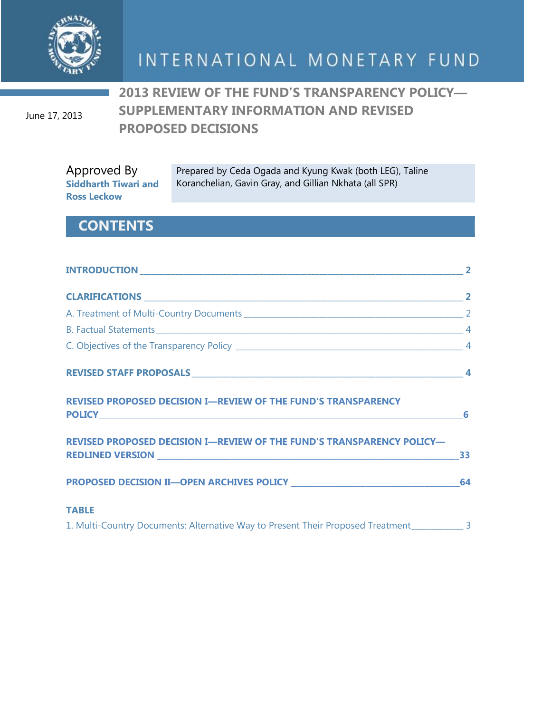

June 17, 2013

**2013 REVIEW OF THE FUND'S TRANSPARENCY POLICY— SUPPLEMENTARY INFORMATION AND REVISED PROPOSED DECISIONS**

Approved By **Siddharth Tiwari and Ross Leckow**

Prepared by Ceda Ogada and Kyung Kwak (both LEG), Taline Koranchelian, Gavin Gray, and Gillian Nkhata (all SPR)

# **CONTENTS**

| <b>REVISED PROPOSED DECISION I-REVIEW OF THE FUND'S TRANSPARENCY</b>                           |  |
|------------------------------------------------------------------------------------------------|--|
| REVISED PROPOSED DECISION I-REVIEW OF THE FUND'S TRANSPARENCY POLICY-                          |  |
|                                                                                                |  |
| <b>TABLE</b>                                                                                   |  |
| 1. Multi-Country Documents: Alternative Way to Present Their Proposed Treatment_____________ 3 |  |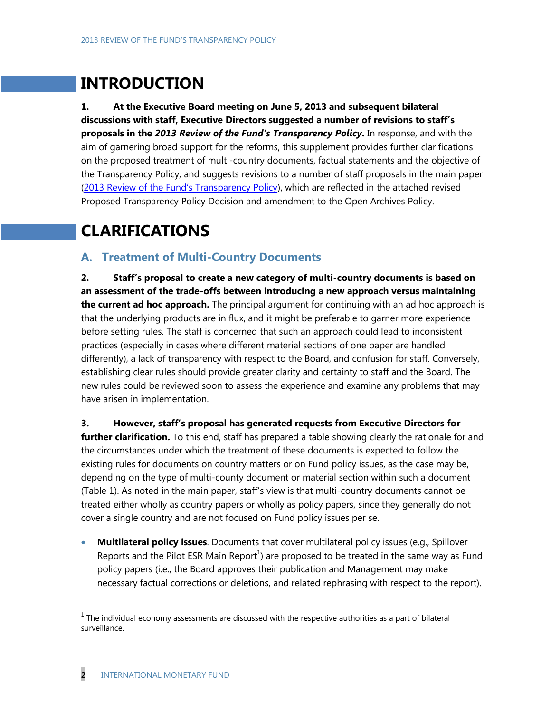# **INTRODUCTION**

**1. At the Executive Board meeting on June 5, 2013 and subsequent bilateral discussions with staff, Executive Directors suggested a number of revisions to staff's proposals in the** *2013 Review of the Fund's Transparency Policy***.** In response, and with the aim of garnering broad support for the reforms, this supplement provides further clarifications on the proposed treatment of multi-country documents, factual statements and the objective of the Transparency Policy, and suggests revisions to a number of staff proposals in the main paper ([2013 Review of the Fund's Transparency Policy](http://www.imf.org/external/np/pp/eng/2013/051413.pdf)), which are reflected in the attached revised Proposed Transparency Policy Decision and amendment to the Open Archives Policy.

# **CLARIFICATIONS**

# **A. Treatment of Multi-Country Documents**

**2. Staff's proposal to create a new category of multi-country documents is based on an assessment of the trade-offs between introducing a new approach versus maintaining the current ad hoc approach.** The principal argument for continuing with an ad hoc approach is that the underlying products are in flux, and it might be preferable to garner more experience before setting rules. The staff is concerned that such an approach could lead to inconsistent practices (especially in cases where different material sections of one paper are handled differently), a lack of transparency with respect to the Board, and confusion for staff. Conversely, establishing clear rules should provide greater clarity and certainty to staff and the Board. The new rules could be reviewed soon to assess the experience and examine any problems that may have arisen in implementation.

**3. However, staff's proposal has generated requests from Executive Directors for**  further clarification. To this end, staff has prepared a table showing clearly the rationale for and the circumstances under which the treatment of these documents is expected to follow the existing rules for documents on country matters or on Fund policy issues, as the case may be, depending on the type of multi-county document or material section within such a document (Table 1). As noted in the main paper, staff's view is that multi-country documents cannot be treated either wholly as country papers or wholly as policy papers, since they generally do not cover a single country and are not focused on Fund policy issues per se.

 **Multilateral policy issues**. Documents that cover multilateral policy issues (e.g., Spillover Reports and the Pilot ESR Main Report<sup>1</sup>) are proposed to be treated in the same way as Fund policy papers (i.e., the Board approves their publication and Management may make necessary factual corrections or deletions, and related rephrasing with respect to the report).

 $\overline{\phantom{a}}$ 

 $<sup>1</sup>$  The individual economy assessments are discussed with the respective authorities as a part of bilateral</sup> surveillance.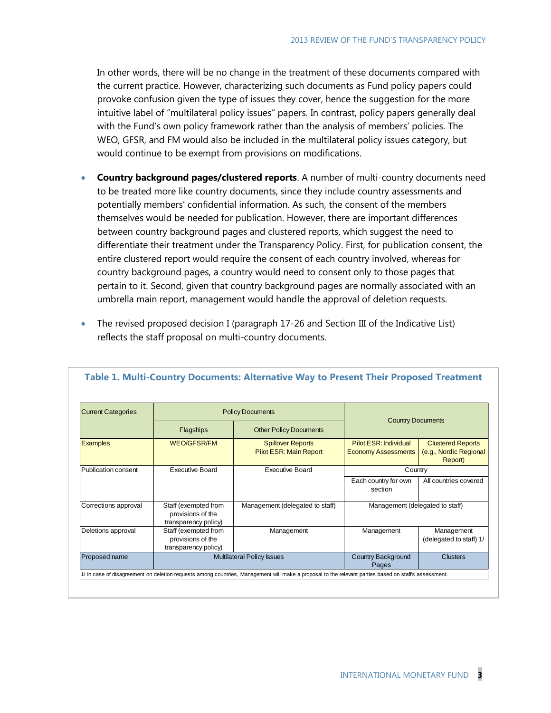In other words, there will be no change in the treatment of these documents compared with the current practice. However, characterizing such documents as Fund policy papers could provoke confusion given the type of issues they cover, hence the suggestion for the more intuitive label of "multilateral policy issues" papers. In contrast, policy papers generally deal with the Fund's own policy framework rather than the analysis of members' policies. The WEO, GFSR, and FM would also be included in the multilateral policy issues category, but would continue to be exempt from provisions on modifications.

- **Country background pages/clustered reports**. A number of multi-country documents need to be treated more like country documents, since they include country assessments and potentially members' confidential information. As such, the consent of the members themselves would be needed for publication. However, there are important differences between country background pages and clustered reports, which suggest the need to differentiate their treatment under the Transparency Policy. First, for publication consent, the entire clustered report would require the consent of each country involved, whereas for country background pages, a country would need to consent only to those pages that pertain to it. Second, given that country background pages are normally associated with an umbrella main report, management would handle the approval of deletion requests.
- The revised proposed decision I (paragraph 17-26 and Section III of the Indicative List) reflects the staff proposal on multi-country documents.

| <b>Current Categories</b><br><b>Examples</b> | <b>Policy Documents</b>                                           |                                                           |                                                     |                                                               |
|----------------------------------------------|-------------------------------------------------------------------|-----------------------------------------------------------|-----------------------------------------------------|---------------------------------------------------------------|
|                                              | <b>Flagships</b>                                                  | <b>Other Policy Documents</b>                             | <b>Country Documents</b>                            |                                                               |
|                                              | <b>WEO/GFSR/FM</b>                                                | <b>Spillover Reports</b><br><b>Pilot ESR: Main Report</b> | Pilot ESR: Individual<br><b>Economy Assessments</b> | <b>Clustered Reports</b><br>(e.g., Nordic Regional<br>Report) |
| Publication consent                          | <b>Executive Board</b>                                            | <b>Executive Board</b>                                    | Country                                             |                                                               |
|                                              |                                                                   |                                                           | Each country for own<br>section                     | All countries covered                                         |
| Corrections approval                         | Staff (exempted from<br>provisions of the<br>transparency policy) | Management (delegated to staff)                           | Management (delegated to staff)                     |                                                               |
| Deletions approval                           | Staff (exempted from<br>provisions of the<br>transparency policy) | Management                                                | Management                                          | Management<br>(delegated to staff) 1/                         |
| <b>Proposed name</b>                         | <b>Multilateral Policy Issues</b>                                 |                                                           | <b>Country Background</b><br>Pages                  | <b>Clusters</b>                                               |

#### **Table 1. Multi-Country Documents: Alternative Way to Present Their Proposed Treatment**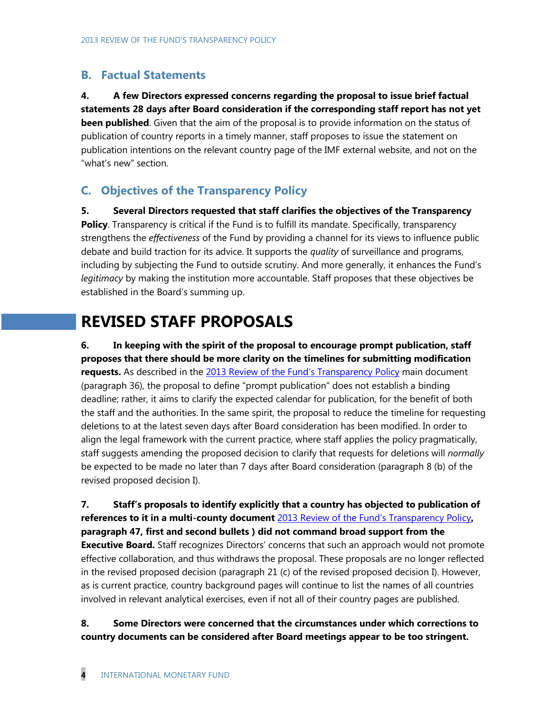# **B. Factual Statements**

**4. A few Directors expressed concerns regarding the proposal to issue brief factual statements 28 days after Board consideration if the corresponding staff report has not yet been published**. Given that the aim of the proposal is to provide information on the status of publication of country reports in a timely manner, staff proposes to issue the statement on publication intentions on the relevant country page of the IMF external website, and not on the "what's new" section.

# **C. Objectives of the Transparency Policy**

**5. Several Directors requested that staff clarifies the objectives of the Transparency Policy**. Transparency is critical if the Fund is to fulfill its mandate. Specifically, transparency strengthens the *effectiveness* of the Fund by providing a channel for its views to influence public debate and build traction for its advice. It supports the *quality* of surveillance and programs, including by subjecting the Fund to outside scrutiny. And more generally, it enhances the Fund's *legitimacy* by making the institution more accountable. Staff proposes that these objectives be established in the Board's summing up.

# **REVISED STAFF PROPOSALS**

**6. In keeping with the spirit of the proposal to encourage prompt publication, staff proposes that there should be more clarity on the timelines for submitting modification requests.** As described in the [2013 Review of the Fund's Transparency Policy](http://www.imf.org/external/np/pp/eng/2013/051413.pdf) main document (paragraph 36), the proposal to define "prompt publication" does not establish a binding deadline; rather, it aims to clarify the expected calendar for publication, for the benefit of both the staff and the authorities. In the same spirit, the proposal to reduce the timeline for requesting deletions to at the latest seven days after Board consideration has been modified. In order to align the legal framework with the current practice, where staff applies the policy pragmatically, staff suggests amending the proposed decision to clarify that requests for deletions will *normally* be expected to be made no later than 7 days after Board consideration (paragraph 8 (b) of the revised proposed decision I).

**7. Staff's proposals to identify explicitly that a country has objected to publication of references to it in a multi-county document** [2013 Review of the Fund's Transparency Poli](http://www.imf.org/external/np/pp/eng/2013/051413.pdf)cy**, paragraph 47, first and second bullets ) did not command broad support from the Executive Board.** Staff recognizes Directors' concerns that such an approach would not promote effective collaboration, and thus withdraws the proposal. These proposals are no longer reflected in the revised proposed decision (paragraph 21 (c) of the revised proposed decision I). However, as is current practice, country background pages will continue to list the names of all countries involved in relevant analytical exercises, even if not all of their country pages are published.

**8. Some Directors were concerned that the circumstances under which corrections to country documents can be considered after Board meetings appear to be too stringent.**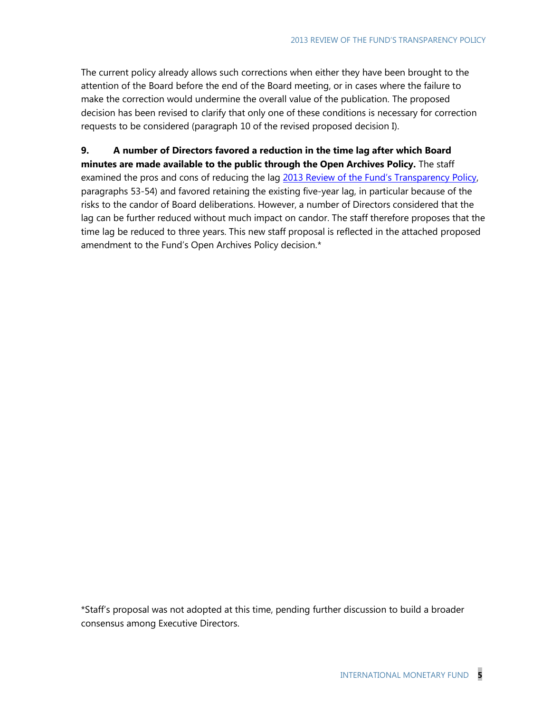The current policy already allows such corrections when either they have been brought to the attention of the Board before the end of the Board meeting, or in cases where the failure to make the correction would undermine the overall value of the publication. The proposed decision has been revised to clarify that only one of these conditions is necessary for correction requests to be considered (paragraph 10 of the revised proposed decision I).

**9. A number of Directors favored a reduction in the time lag after which Board minutes are made available to the public through the Open Archives Policy.** The staff examined the pros and cons of reducing the lag [2013 Review of the Fund's Transparency Policy](http://www.imf.org/external/np/pp/eng/2013/051413.pdf), paragraphs 53-54) and favored retaining the existing five-year lag, in particular because of the risks to the candor of Board deliberations. However, a number of Directors considered that the lag can be further reduced without much impact on candor. The staff therefore proposes that the time lag be reduced to three years. This new staff proposal is reflected in the attached proposed amendment to the Fund's Open Archives Policy decision.\*

\*Staff's proposal was not adopted at this time, pending further discussion to build a broader consensus among Executive Directors.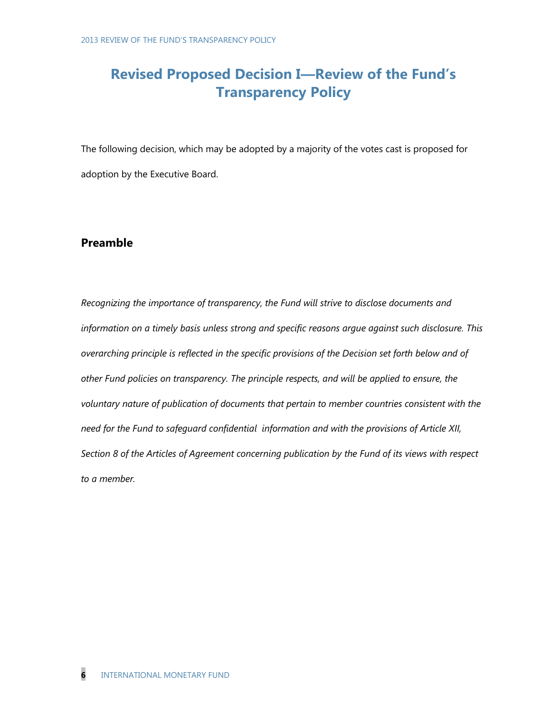# **Revised Proposed Decision I—Review of the Fund's Transparency Policy**

The following decision, which may be adopted by a majority of the votes cast is proposed for adoption by the Executive Board.

# **Preamble**

*Recognizing the importance of transparency, the Fund will strive to disclose documents and information on a timely basis unless strong and specific reasons argue against such disclosure. This overarching principle is reflected in the specific provisions of the Decision set forth below and of other Fund policies on transparency. The principle respects, and will be applied to ensure, the voluntary nature of publication of documents that pertain to member countries consistent with the need for the Fund to safeguard confidential information and with the provisions of Article XII, Section 8 of the Articles of Agreement concerning publication by the Fund of its views with respect to a member.*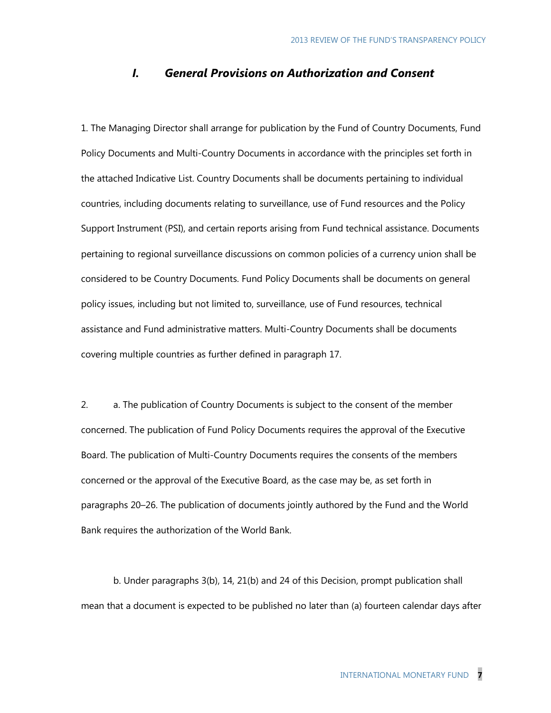# *I. General Provisions on Authorization and Consent*

1. The Managing Director shall arrange for publication by the Fund of Country Documents, Fund Policy Documents and Multi-Country Documents in accordance with the principles set forth in the attached Indicative List. Country Documents shall be documents pertaining to individual countries, including documents relating to surveillance, use of Fund resources and the Policy Support Instrument (PSI), and certain reports arising from Fund technical assistance. Documents pertaining to regional surveillance discussions on common policies of a currency union shall be considered to be Country Documents. Fund Policy Documents shall be documents on general policy issues, including but not limited to, surveillance, use of Fund resources, technical assistance and Fund administrative matters. Multi-Country Documents shall be documents covering multiple countries as further defined in paragraph 17.

2. a. The publication of Country Documents is subject to the consent of the member concerned. The publication of Fund Policy Documents requires the approval of the Executive Board. The publication of Multi-Country Documents requires the consents of the members concerned or the approval of the Executive Board, as the case may be, as set forth in paragraphs 20–26. The publication of documents jointly authored by the Fund and the World Bank requires the authorization of the World Bank.

b. Under paragraphs 3(b), 14, 21(b) and 24 of this Decision, prompt publication shall mean that a document is expected to be published no later than (a) fourteen calendar days after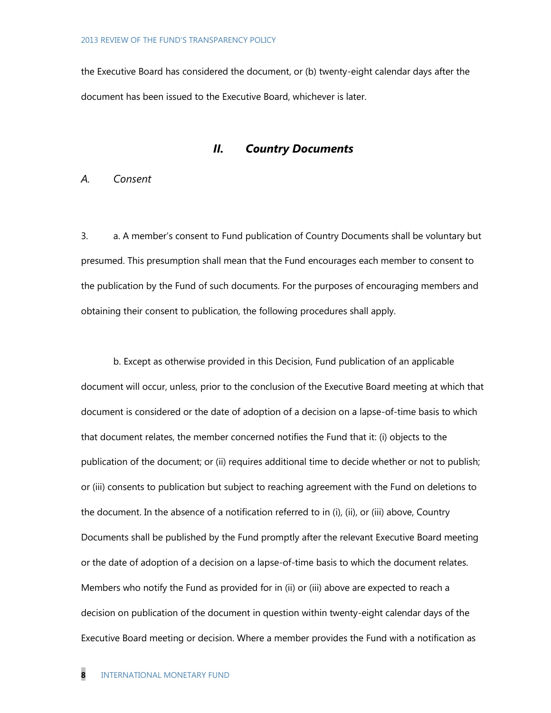the Executive Board has considered the document, or (b) twenty-eight calendar days after the document has been issued to the Executive Board, whichever is later.

## *II. Country Documents*

# *A. Consent*

3. a. A member's consent to Fund publication of Country Documents shall be voluntary but presumed. This presumption shall mean that the Fund encourages each member to consent to the publication by the Fund of such documents. For the purposes of encouraging members and obtaining their consent to publication, the following procedures shall apply.

b. Except as otherwise provided in this Decision, Fund publication of an applicable document will occur, unless, prior to the conclusion of the Executive Board meeting at which that document is considered or the date of adoption of a decision on a lapse-of-time basis to which that document relates, the member concerned notifies the Fund that it: (i) objects to the publication of the document; or (ii) requires additional time to decide whether or not to publish; or (iii) consents to publication but subject to reaching agreement with the Fund on deletions to the document. In the absence of a notification referred to in (i), (ii), or (iii) above, Country Documents shall be published by the Fund promptly after the relevant Executive Board meeting or the date of adoption of a decision on a lapse-of-time basis to which the document relates. Members who notify the Fund as provided for in (ii) or (iii) above are expected to reach a decision on publication of the document in question within twenty-eight calendar days of the Executive Board meeting or decision. Where a member provides the Fund with a notification as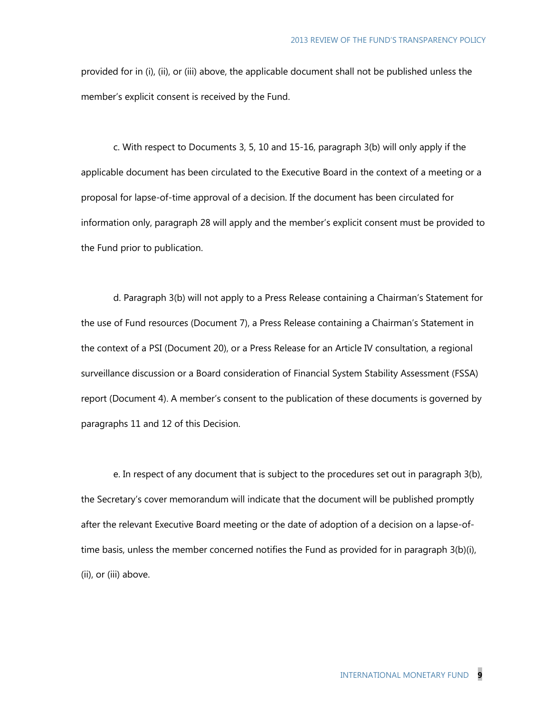provided for in (i), (ii), or (iii) above, the applicable document shall not be published unless the member's explicit consent is received by the Fund.

c. With respect to Documents 3, 5, 10 and 15-16, paragraph 3(b) will only apply if the applicable document has been circulated to the Executive Board in the context of a meeting or a proposal for lapse-of-time approval of a decision. If the document has been circulated for information only, paragraph 28 will apply and the member's explicit consent must be provided to the Fund prior to publication.

d. Paragraph 3(b) will not apply to a Press Release containing a Chairman's Statement for the use of Fund resources (Document 7), a Press Release containing a Chairman's Statement in the context of a PSI (Document 20), or a Press Release for an Article IV consultation, a regional surveillance discussion or a Board consideration of Financial System Stability Assessment (FSSA) report (Document 4). A member's consent to the publication of these documents is governed by paragraphs 11 and 12 of this Decision.

e. In respect of any document that is subject to the procedures set out in paragraph 3(b), the Secretary's cover memorandum will indicate that the document will be published promptly after the relevant Executive Board meeting or the date of adoption of a decision on a lapse-oftime basis, unless the member concerned notifies the Fund as provided for in paragraph 3(b)(i), (ii), or (iii) above.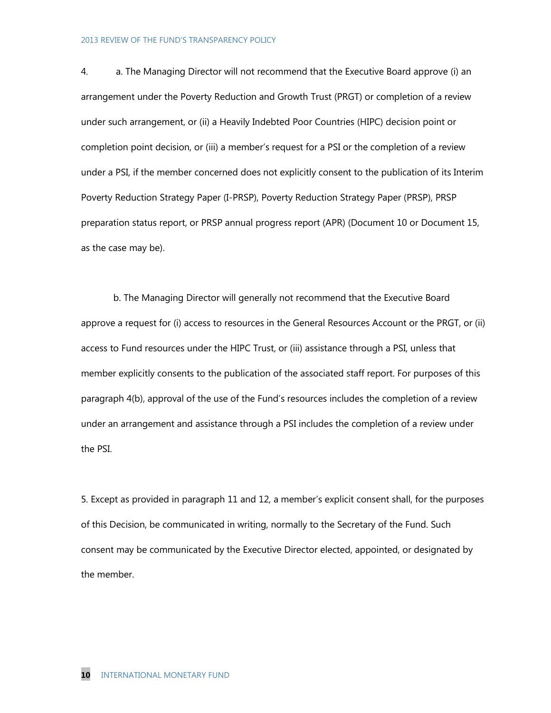4. a. The Managing Director will not recommend that the Executive Board approve (i) an arrangement under the Poverty Reduction and Growth Trust (PRGT) or completion of a review under such arrangement, or (ii) a Heavily Indebted Poor Countries (HIPC) decision point or completion point decision, or (iii) a member's request for a PSI or the completion of a review under a PSI, if the member concerned does not explicitly consent to the publication of its Interim Poverty Reduction Strategy Paper (I-PRSP), Poverty Reduction Strategy Paper (PRSP), PRSP preparation status report, or PRSP annual progress report (APR) (Document 10 or Document 15, as the case may be).

b. The Managing Director will generally not recommend that the Executive Board approve a request for (i) access to resources in the General Resources Account or the PRGT, or (ii) access to Fund resources under the HIPC Trust, or (iii) assistance through a PSI, unless that member explicitly consents to the publication of the associated staff report. For purposes of this paragraph 4(b), approval of the use of the Fund's resources includes the completion of a review under an arrangement and assistance through a PSI includes the completion of a review under the PSI.

5. Except as provided in paragraph 11 and 12, a member's explicit consent shall, for the purposes of this Decision, be communicated in writing, normally to the Secretary of the Fund. Such consent may be communicated by the Executive Director elected, appointed, or designated by the member.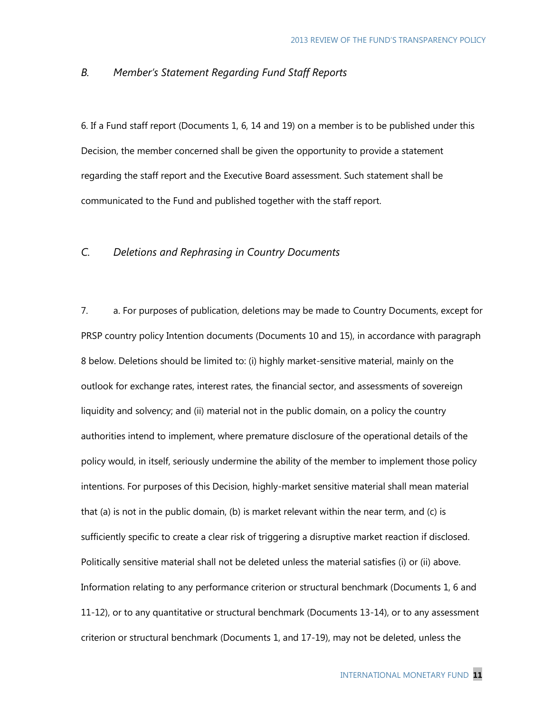## *B. Member's Statement Regarding Fund Staff Reports*

6. If a Fund staff report (Documents 1, 6, 14 and 19) on a member is to be published under this Decision, the member concerned shall be given the opportunity to provide a statement regarding the staff report and the Executive Board assessment. Such statement shall be communicated to the Fund and published together with the staff report.

## *C. Deletions and Rephrasing in Country Documents*

7. a. For purposes of publication, deletions may be made to Country Documents, except for PRSP country policy Intention documents (Documents 10 and 15), in accordance with paragraph 8 below. Deletions should be limited to: (i) highly market-sensitive material, mainly on the outlook for exchange rates, interest rates, the financial sector, and assessments of sovereign liquidity and solvency; and (ii) material not in the public domain, on a policy the country authorities intend to implement, where premature disclosure of the operational details of the policy would, in itself, seriously undermine the ability of the member to implement those policy intentions. For purposes of this Decision, highly-market sensitive material shall mean material that (a) is not in the public domain, (b) is market relevant within the near term, and (c) is sufficiently specific to create a clear risk of triggering a disruptive market reaction if disclosed. Politically sensitive material shall not be deleted unless the material satisfies (i) or (ii) above. Information relating to any performance criterion or structural benchmark (Documents 1, 6 and 11-12), or to any quantitative or structural benchmark (Documents 13-14), or to any assessment criterion or structural benchmark (Documents 1, and 17-19), may not be deleted, unless the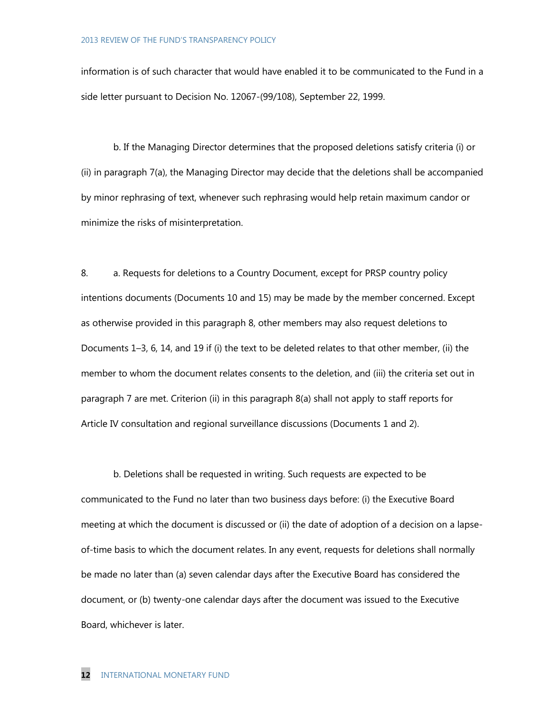information is of such character that would have enabled it to be communicated to the Fund in a side letter pursuant to Decision No. 12067-(99/108), September 22, 1999.

b. If the Managing Director determines that the proposed deletions satisfy criteria (i) or (ii) in paragraph 7(a), the Managing Director may decide that the deletions shall be accompanied by minor rephrasing of text, whenever such rephrasing would help retain maximum candor or minimize the risks of misinterpretation.

8. a. Requests for deletions to a Country Document, except for PRSP country policy intentions documents (Documents 10 and 15) may be made by the member concerned. Except as otherwise provided in this paragraph 8, other members may also request deletions to Documents 1–3, 6, 14, and 19 if (i) the text to be deleted relates to that other member, (ii) the member to whom the document relates consents to the deletion, and (iii) the criteria set out in paragraph 7 are met. Criterion (ii) in this paragraph 8(a) shall not apply to staff reports for Article IV consultation and regional surveillance discussions (Documents 1 and 2).

b. Deletions shall be requested in writing. Such requests are expected to be communicated to the Fund no later than two business days before: (i) the Executive Board meeting at which the document is discussed or (ii) the date of adoption of a decision on a lapseof-time basis to which the document relates. In any event, requests for deletions shall normally be made no later than (a) seven calendar days after the Executive Board has considered the document, or (b) twenty-one calendar days after the document was issued to the Executive Board, whichever is later.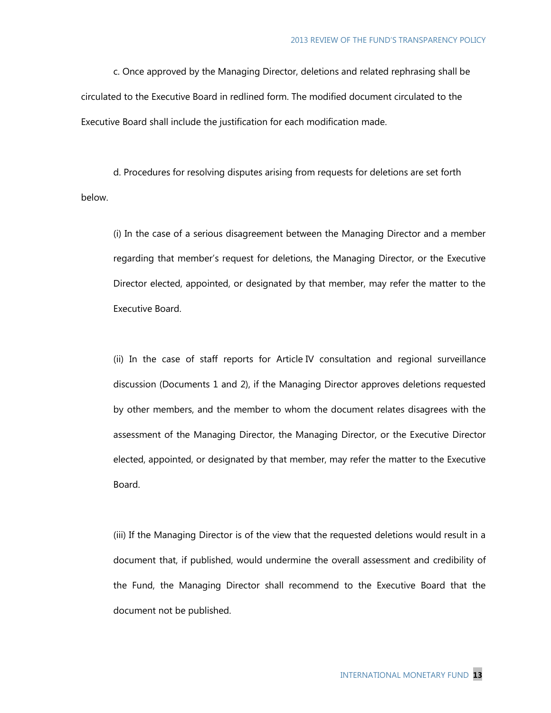c. Once approved by the Managing Director, deletions and related rephrasing shall be circulated to the Executive Board in redlined form. The modified document circulated to the Executive Board shall include the justification for each modification made.

d. Procedures for resolving disputes arising from requests for deletions are set forth below.

(i) In the case of a serious disagreement between the Managing Director and a member regarding that member's request for deletions, the Managing Director, or the Executive Director elected, appointed, or designated by that member, may refer the matter to the Executive Board.

(ii) In the case of staff reports for Article IV consultation and regional surveillance discussion (Documents 1 and 2), if the Managing Director approves deletions requested by other members, and the member to whom the document relates disagrees with the assessment of the Managing Director, the Managing Director, or the Executive Director elected, appointed, or designated by that member, may refer the matter to the Executive Board.

(iii) If the Managing Director is of the view that the requested deletions would result in a document that, if published, would undermine the overall assessment and credibility of the Fund, the Managing Director shall recommend to the Executive Board that the document not be published.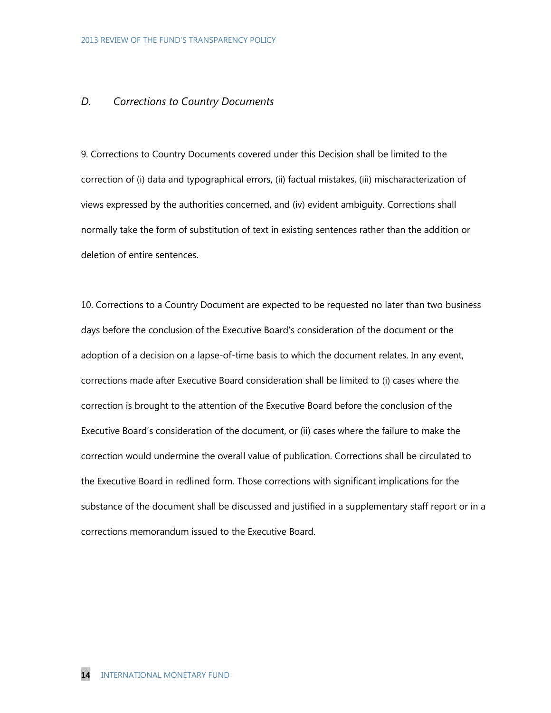# *D. Corrections to Country Documents*

9. Corrections to Country Documents covered under this Decision shall be limited to the correction of (i) data and typographical errors, (ii) factual mistakes, (iii) mischaracterization of views expressed by the authorities concerned, and (iv) evident ambiguity. Corrections shall normally take the form of substitution of text in existing sentences rather than the addition or deletion of entire sentences.

10. Corrections to a Country Document are expected to be requested no later than two business days before the conclusion of the Executive Board's consideration of the document or the adoption of a decision on a lapse-of-time basis to which the document relates. In any event, corrections made after Executive Board consideration shall be limited to (i) cases where the correction is brought to the attention of the Executive Board before the conclusion of the Executive Board's consideration of the document, or (ii) cases where the failure to make the correction would undermine the overall value of publication. Corrections shall be circulated to the Executive Board in redlined form. Those corrections with significant implications for the substance of the document shall be discussed and justified in a supplementary staff report or in a corrections memorandum issued to the Executive Board.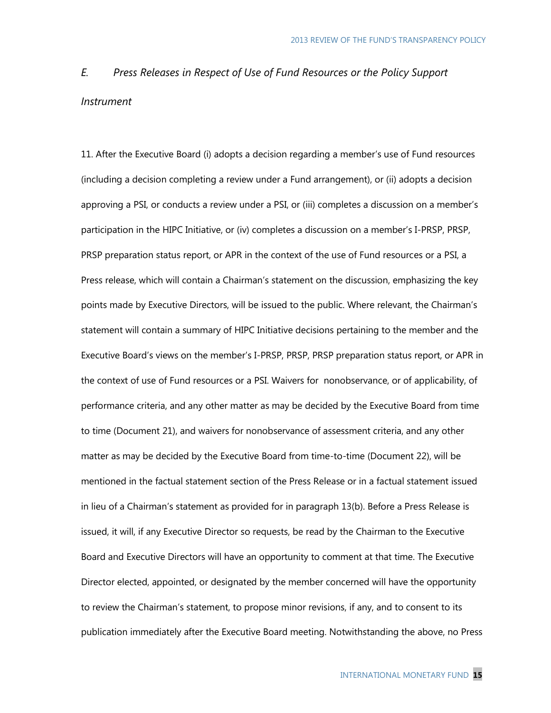# *E. Press Releases in Respect of Use of Fund Resources or the Policy Support Instrument*

11. After the Executive Board (i) adopts a decision regarding a member's use of Fund resources (including a decision completing a review under a Fund arrangement), or (ii) adopts a decision approving a PSI, or conducts a review under a PSI, or (iii) completes a discussion on a member's participation in the HIPC Initiative, or (iv) completes a discussion on a member's I-PRSP, PRSP, PRSP preparation status report, or APR in the context of the use of Fund resources or a PSI, a Press release, which will contain a Chairman's statement on the discussion, emphasizing the key points made by Executive Directors, will be issued to the public. Where relevant, the Chairman's statement will contain a summary of HIPC Initiative decisions pertaining to the member and the Executive Board's views on the member's I-PRSP, PRSP, PRSP preparation status report, or APR in the context of use of Fund resources or a PSI. Waivers for nonobservance, or of applicability, of performance criteria, and any other matter as may be decided by the Executive Board from time to time (Document 21), and waivers for nonobservance of assessment criteria, and any other matter as may be decided by the Executive Board from time-to-time (Document 22), will be mentioned in the factual statement section of the Press Release or in a factual statement issued in lieu of a Chairman's statement as provided for in paragraph 13(b). Before a Press Release is issued, it will, if any Executive Director so requests, be read by the Chairman to the Executive Board and Executive Directors will have an opportunity to comment at that time. The Executive Director elected, appointed, or designated by the member concerned will have the opportunity to review the Chairman's statement, to propose minor revisions, if any, and to consent to its publication immediately after the Executive Board meeting. Notwithstanding the above, no Press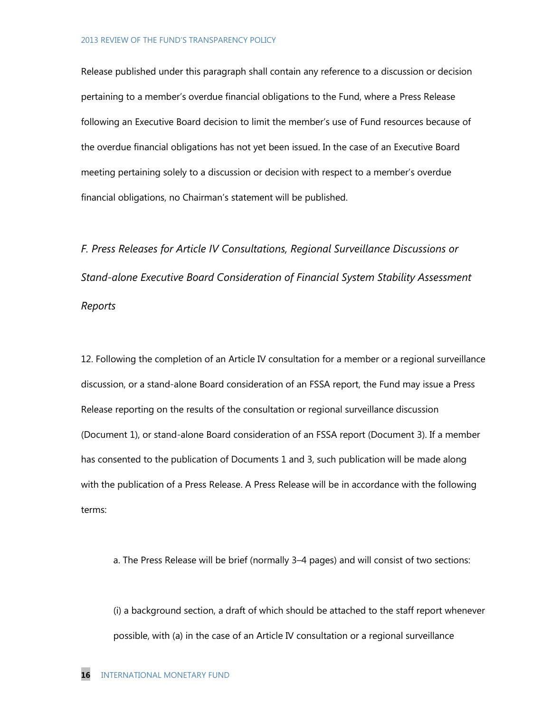Release published under this paragraph shall contain any reference to a discussion or decision pertaining to a member's overdue financial obligations to the Fund, where a Press Release following an Executive Board decision to limit the member's use of Fund resources because of the overdue financial obligations has not yet been issued. In the case of an Executive Board meeting pertaining solely to a discussion or decision with respect to a member's overdue financial obligations, no Chairman's statement will be published.

*F. Press Releases for Article IV Consultations, Regional Surveillance Discussions or Stand-alone Executive Board Consideration of Financial System Stability Assessment Reports*

12. Following the completion of an Article IV consultation for a member or a regional surveillance discussion, or a stand-alone Board consideration of an FSSA report, the Fund may issue a Press Release reporting on the results of the consultation or regional surveillance discussion (Document 1), or stand-alone Board consideration of an FSSA report (Document 3). If a member has consented to the publication of Documents 1 and 3, such publication will be made along with the publication of a Press Release. A Press Release will be in accordance with the following terms:

a. The Press Release will be brief (normally 3–4 pages) and will consist of two sections:

(i) a background section, a draft of which should be attached to the staff report whenever possible, with (a) in the case of an Article IV consultation or a regional surveillance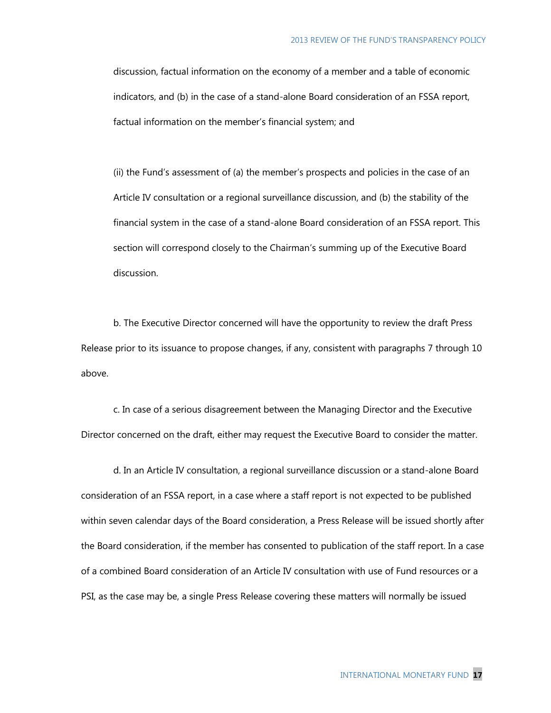discussion, factual information on the economy of a member and a table of economic indicators, and (b) in the case of a stand-alone Board consideration of an FSSA report, factual information on the member's financial system; and

(ii) the Fund's assessment of (a) the member's prospects and policies in the case of an Article IV consultation or a regional surveillance discussion, and (b) the stability of the financial system in the case of a stand-alone Board consideration of an FSSA report. This section will correspond closely to the Chairman's summing up of the Executive Board discussion.

b. The Executive Director concerned will have the opportunity to review the draft Press Release prior to its issuance to propose changes, if any, consistent with paragraphs 7 through 10 above.

c. In case of a serious disagreement between the Managing Director and the Executive Director concerned on the draft, either may request the Executive Board to consider the matter.

d. In an Article IV consultation, a regional surveillance discussion or a stand-alone Board consideration of an FSSA report, in a case where a staff report is not expected to be published within seven calendar days of the Board consideration, a Press Release will be issued shortly after the Board consideration, if the member has consented to publication of the staff report. In a case of a combined Board consideration of an Article IV consultation with use of Fund resources or a PSI, as the case may be, a single Press Release covering these matters will normally be issued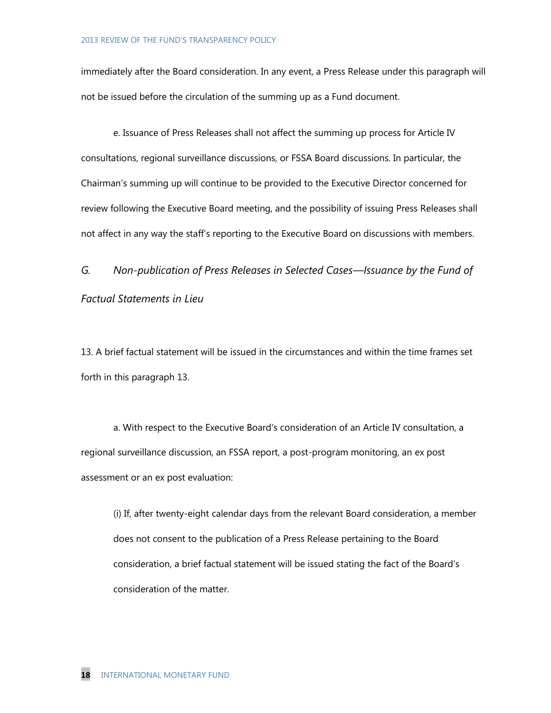immediately after the Board consideration. In any event, a Press Release under this paragraph will not be issued before the circulation of the summing up as a Fund document.

e. Issuance of Press Releases shall not affect the summing up process for Article IV consultations, regional surveillance discussions, or FSSA Board discussions. In particular, the Chairman's summing up will continue to be provided to the Executive Director concerned for review following the Executive Board meeting, and the possibility of issuing Press Releases shall not affect in any way the staff's reporting to the Executive Board on discussions with members.

*G. Non-publication of Press Releases in Selected Cases—Issuance by the Fund of Factual Statements in Lieu* 

13. A brief factual statement will be issued in the circumstances and within the time frames set forth in this paragraph 13.

a. With respect to the Executive Board's consideration of an Article IV consultation, a regional surveillance discussion, an FSSA report, a post-program monitoring, an ex post assessment or an ex post evaluation:

(i) If, after twenty-eight calendar days from the relevant Board consideration, a member does not consent to the publication of a Press Release pertaining to the Board consideration, a brief factual statement will be issued stating the fact of the Board's consideration of the matter.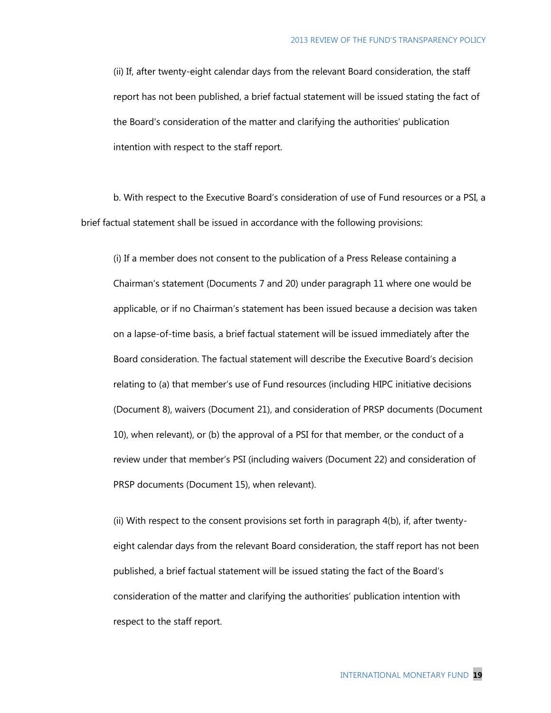(ii) If, after twenty-eight calendar days from the relevant Board consideration, the staff report has not been published, a brief factual statement will be issued stating the fact of the Board's consideration of the matter and clarifying the authorities' publication intention with respect to the staff report.

b. With respect to the Executive Board's consideration of use of Fund resources or a PSI, a brief factual statement shall be issued in accordance with the following provisions:

(i) If a member does not consent to the publication of a Press Release containing a Chairman's statement (Documents 7 and 20) under paragraph 11 where one would be applicable, or if no Chairman's statement has been issued because a decision was taken on a lapse-of-time basis, a brief factual statement will be issued immediately after the Board consideration. The factual statement will describe the Executive Board's decision relating to (a) that member's use of Fund resources (including HIPC initiative decisions (Document 8), waivers (Document 21), and consideration of PRSP documents (Document 10), when relevant), or (b) the approval of a PSI for that member, or the conduct of a review under that member's PSI (including waivers (Document 22) and consideration of PRSP documents (Document 15), when relevant).

(ii) With respect to the consent provisions set forth in paragraph  $4(b)$ , if, after twentyeight calendar days from the relevant Board consideration, the staff report has not been published, a brief factual statement will be issued stating the fact of the Board's consideration of the matter and clarifying the authorities' publication intention with respect to the staff report.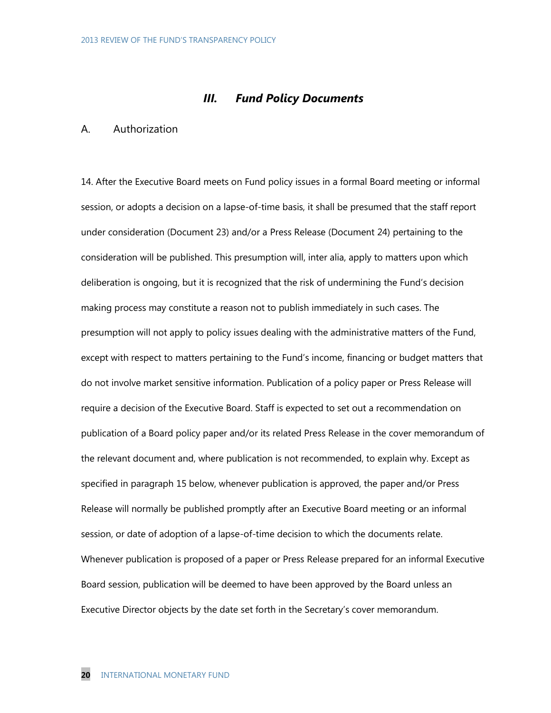# *III. Fund Policy Documents*

#### A. Authorization

14. After the Executive Board meets on Fund policy issues in a formal Board meeting or informal session, or adopts a decision on a lapse-of-time basis, it shall be presumed that the staff report under consideration (Document 23) and/or a Press Release (Document 24) pertaining to the consideration will be published. This presumption will, inter alia, apply to matters upon which deliberation is ongoing, but it is recognized that the risk of undermining the Fund's decision making process may constitute a reason not to publish immediately in such cases. The presumption will not apply to policy issues dealing with the administrative matters of the Fund, except with respect to matters pertaining to the Fund's income, financing or budget matters that do not involve market sensitive information. Publication of a policy paper or Press Release will require a decision of the Executive Board. Staff is expected to set out a recommendation on publication of a Board policy paper and/or its related Press Release in the cover memorandum of the relevant document and, where publication is not recommended, to explain why. Except as specified in paragraph 15 below, whenever publication is approved, the paper and/or Press Release will normally be published promptly after an Executive Board meeting or an informal session, or date of adoption of a lapse-of-time decision to which the documents relate. Whenever publication is proposed of a paper or Press Release prepared for an informal Executive Board session, publication will be deemed to have been approved by the Board unless an Executive Director objects by the date set forth in the Secretary's cover memorandum.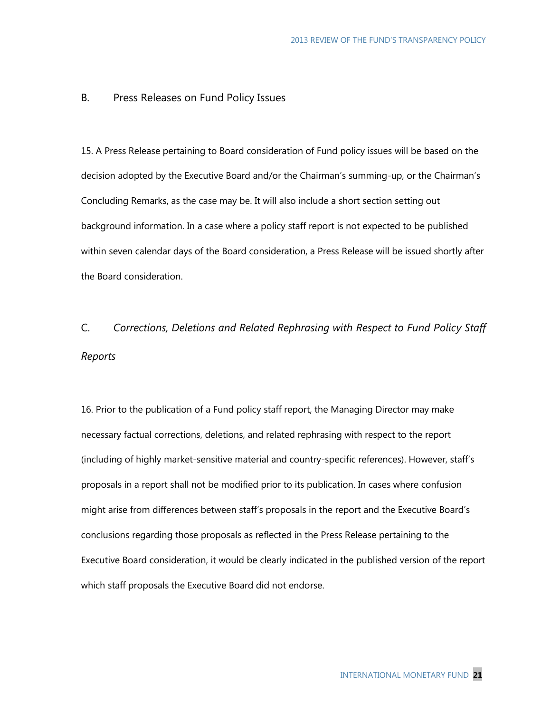#### B. Press Releases on Fund Policy Issues

15. A Press Release pertaining to Board consideration of Fund policy issues will be based on the decision adopted by the Executive Board and/or the Chairman's summing-up, or the Chairman's Concluding Remarks, as the case may be. It will also include a short section setting out background information. In a case where a policy staff report is not expected to be published within seven calendar days of the Board consideration, a Press Release will be issued shortly after the Board consideration.

# C. *Corrections, Deletions and Related Rephrasing with Respect to Fund Policy Staff Reports*

16. Prior to the publication of a Fund policy staff report, the Managing Director may make necessary factual corrections, deletions, and related rephrasing with respect to the report (including of highly market-sensitive material and country-specific references). However, staff's proposals in a report shall not be modified prior to its publication. In cases where confusion might arise from differences between staff's proposals in the report and the Executive Board's conclusions regarding those proposals as reflected in the Press Release pertaining to the Executive Board consideration, it would be clearly indicated in the published version of the report which staff proposals the Executive Board did not endorse.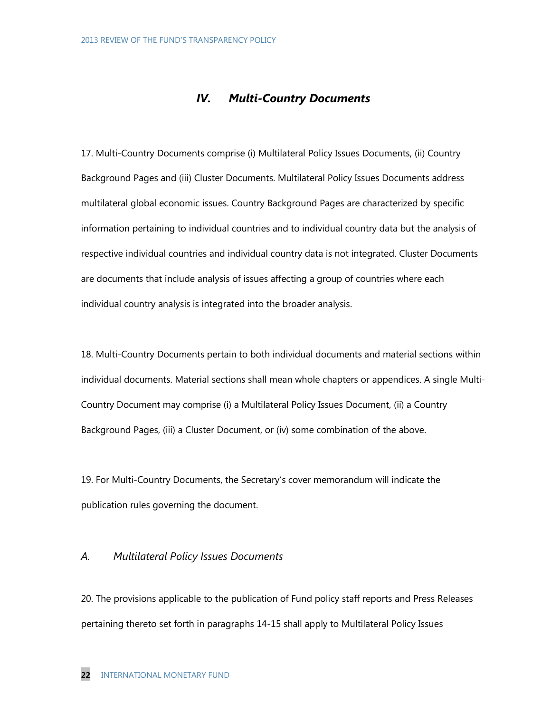# *IV. Multi-Country Documents*

17. Multi-Country Documents comprise (i) Multilateral Policy Issues Documents, (ii) Country Background Pages and (iii) Cluster Documents. Multilateral Policy Issues Documents address multilateral global economic issues. Country Background Pages are characterized by specific information pertaining to individual countries and to individual country data but the analysis of respective individual countries and individual country data is not integrated. Cluster Documents are documents that include analysis of issues affecting a group of countries where each individual country analysis is integrated into the broader analysis.

18. Multi-Country Documents pertain to both individual documents and material sections within individual documents. Material sections shall mean whole chapters or appendices. A single Multi-Country Document may comprise (i) a Multilateral Policy Issues Document, (ii) a Country Background Pages, (iii) a Cluster Document, or (iv) some combination of the above.

19. For Multi-Country Documents, the Secretary's cover memorandum will indicate the publication rules governing the document.

#### *A. Multilateral Policy Issues Documents*

20. The provisions applicable to the publication of Fund policy staff reports and Press Releases pertaining thereto set forth in paragraphs 14-15 shall apply to Multilateral Policy Issues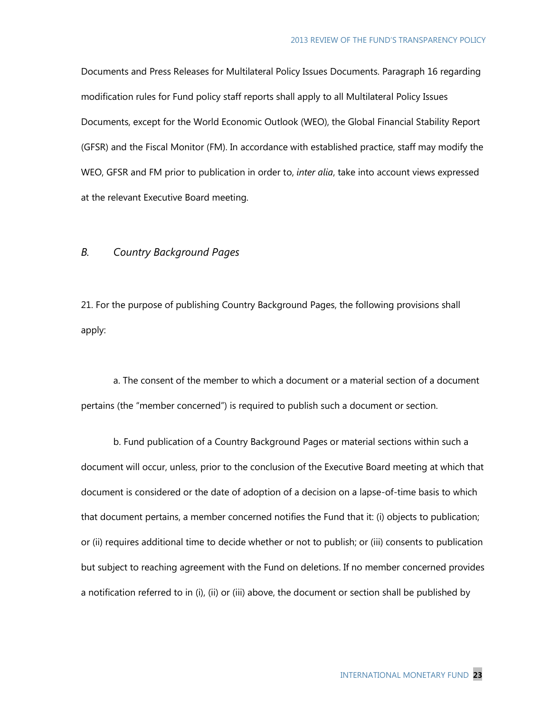Documents and Press Releases for Multilateral Policy Issues Documents. Paragraph 16 regarding modification rules for Fund policy staff reports shall apply to all Multilateral Policy Issues Documents, except for the World Economic Outlook (WEO), the Global Financial Stability Report (GFSR) and the Fiscal Monitor (FM). In accordance with established practice, staff may modify the WEO, GFSR and FM prior to publication in order to, *inter alia*, take into account views expressed at the relevant Executive Board meeting.

## *B. Country Background Pages*

21. For the purpose of publishing Country Background Pages, the following provisions shall apply:

a. The consent of the member to which a document or a material section of a document pertains (the "member concerned") is required to publish such a document or section.

b. Fund publication of a Country Background Pages or material sections within such a document will occur, unless, prior to the conclusion of the Executive Board meeting at which that document is considered or the date of adoption of a decision on a lapse-of-time basis to which that document pertains, a member concerned notifies the Fund that it: (i) objects to publication; or (ii) requires additional time to decide whether or not to publish; or (iii) consents to publication but subject to reaching agreement with the Fund on deletions. If no member concerned provides a notification referred to in (i), (ii) or (iii) above, the document or section shall be published by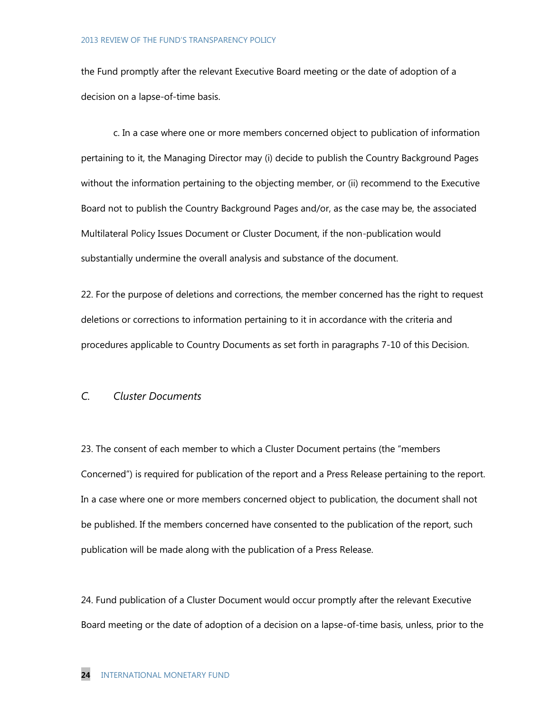#### 2013 REVIEW OF THE FUND'S TRANSPARENCY POLICY

the Fund promptly after the relevant Executive Board meeting or the date of adoption of a decision on a lapse-of-time basis.

c. In a case where one or more members concerned object to publication of information pertaining to it, the Managing Director may (i) decide to publish the Country Background Pages without the information pertaining to the objecting member, or (ii) recommend to the Executive Board not to publish the Country Background Pages and/or, as the case may be, the associated Multilateral Policy Issues Document or Cluster Document, if the non-publication would substantially undermine the overall analysis and substance of the document.

22. For the purpose of deletions and corrections, the member concerned has the right to request deletions or corrections to information pertaining to it in accordance with the criteria and procedures applicable to Country Documents as set forth in paragraphs 7-10 of this Decision.

## *C. Cluster Documents*

23. The consent of each member to which a Cluster Document pertains (the "members Concerned") is required for publication of the report and a Press Release pertaining to the report. In a case where one or more members concerned object to publication, the document shall not be published. If the members concerned have consented to the publication of the report, such publication will be made along with the publication of a Press Release.

24. Fund publication of a Cluster Document would occur promptly after the relevant Executive Board meeting or the date of adoption of a decision on a lapse-of-time basis, unless, prior to the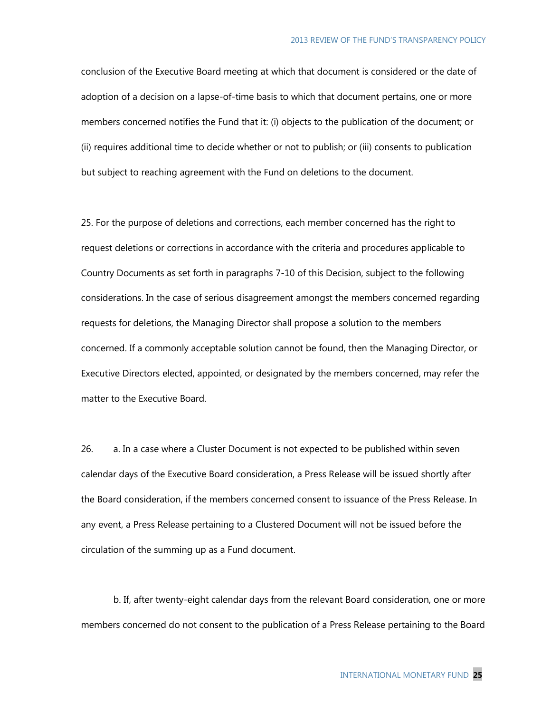conclusion of the Executive Board meeting at which that document is considered or the date of adoption of a decision on a lapse-of-time basis to which that document pertains, one or more members concerned notifies the Fund that it: (i) objects to the publication of the document; or (ii) requires additional time to decide whether or not to publish; or (iii) consents to publication but subject to reaching agreement with the Fund on deletions to the document.

25. For the purpose of deletions and corrections, each member concerned has the right to request deletions or corrections in accordance with the criteria and procedures applicable to Country Documents as set forth in paragraphs 7-10 of this Decision, subject to the following considerations. In the case of serious disagreement amongst the members concerned regarding requests for deletions, the Managing Director shall propose a solution to the members concerned. If a commonly acceptable solution cannot be found, then the Managing Director, or Executive Directors elected, appointed, or designated by the members concerned, may refer the matter to the Executive Board.

26. a. In a case where a Cluster Document is not expected to be published within seven calendar days of the Executive Board consideration, a Press Release will be issued shortly after the Board consideration, if the members concerned consent to issuance of the Press Release. In any event, a Press Release pertaining to a Clustered Document will not be issued before the circulation of the summing up as a Fund document.

b. If, after twenty-eight calendar days from the relevant Board consideration, one or more members concerned do not consent to the publication of a Press Release pertaining to the Board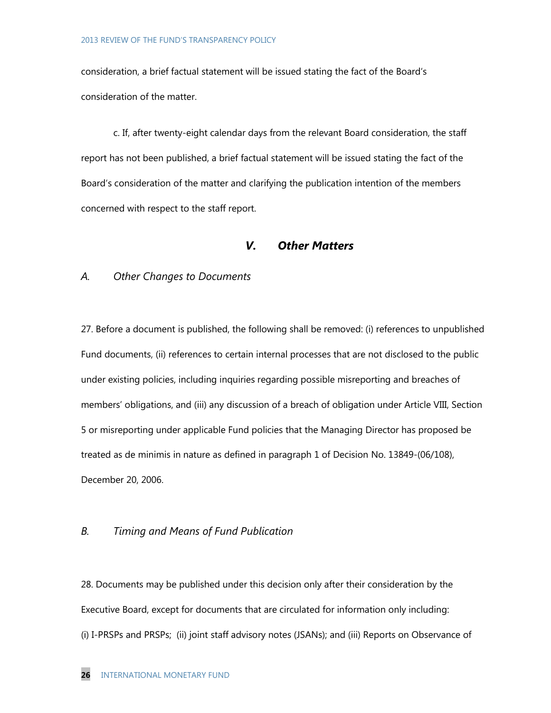consideration, a brief factual statement will be issued stating the fact of the Board's consideration of the matter.

c. If, after twenty-eight calendar days from the relevant Board consideration, the staff report has not been published, a brief factual statement will be issued stating the fact of the Board's consideration of the matter and clarifying the publication intention of the members concerned with respect to the staff report.

## *V. Other Matters*

#### *A. Other Changes to Documents*

27. Before a document is published, the following shall be removed: (i) references to unpublished Fund documents, (ii) references to certain internal processes that are not disclosed to the public under existing policies, including inquiries regarding possible misreporting and breaches of members' obligations, and (iii) any discussion of a breach of obligation under Article VIII, Section 5 or misreporting under applicable Fund policies that the Managing Director has proposed be treated as de minimis in nature as defined in paragraph 1 of Decision No. 13849-(06/108), December 20, 2006.

# *B. Timing and Means of Fund Publication*

28. Documents may be published under this decision only after their consideration by the Executive Board, except for documents that are circulated for information only including: (i) I-PRSPs and PRSPs; (ii) joint staff advisory notes (JSANs); and (iii) Reports on Observance of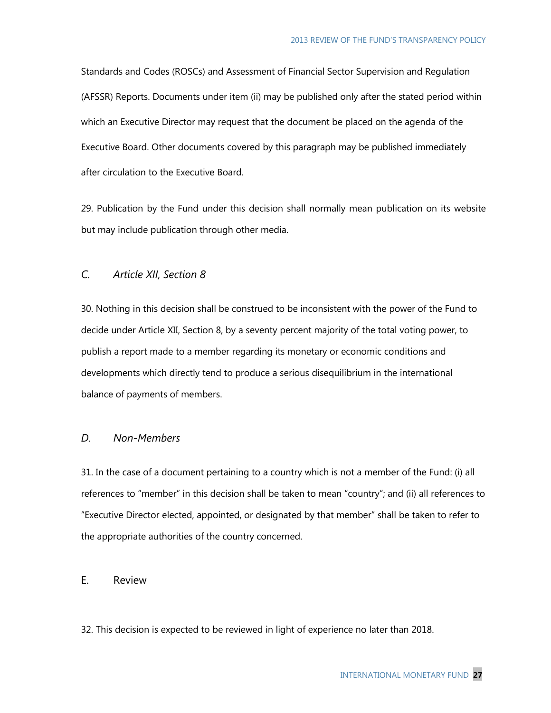Standards and Codes (ROSCs) and Assessment of Financial Sector Supervision and Regulation (AFSSR) Reports. Documents under item (ii) may be published only after the stated period within which an Executive Director may request that the document be placed on the agenda of the Executive Board. Other documents covered by this paragraph may be published immediately after circulation to the Executive Board.

29. Publication by the Fund under this decision shall normally mean publication on its website but may include publication through other media.

# *C. Article XII, Section 8*

30. Nothing in this decision shall be construed to be inconsistent with the power of the Fund to decide under Article XII, Section 8, by a seventy percent majority of the total voting power, to publish a report made to a member regarding its monetary or economic conditions and developments which directly tend to produce a serious disequilibrium in the international balance of payments of members.

#### *D. Non-Members*

31. In the case of a document pertaining to a country which is not a member of the Fund: (i) all references to "member" in this decision shall be taken to mean "country"; and (ii) all references to "Executive Director elected, appointed, or designated by that member" shall be taken to refer to the appropriate authorities of the country concerned.

# E. Review

32. This decision is expected to be reviewed in light of experience no later than 2018.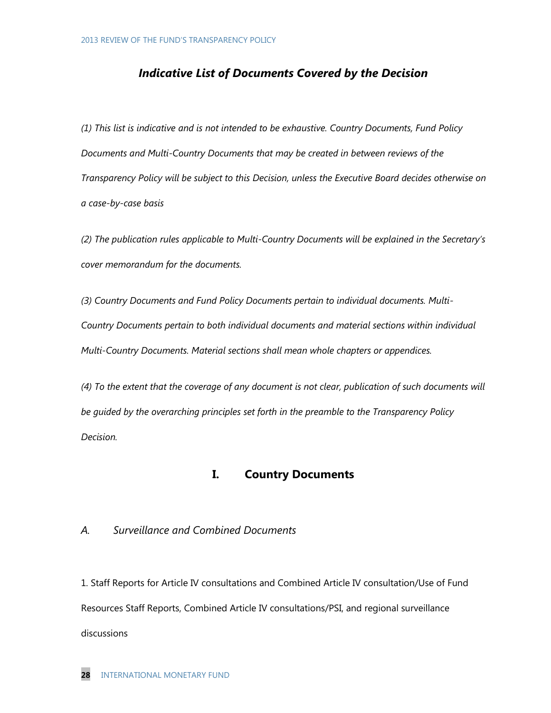# *Indicative List of Documents Covered by the Decision*

*(1) This list is indicative and is not intended to be exhaustive. Country Documents, Fund Policy Documents and Multi-Country Documents that may be created in between reviews of the Transparency Policy will be subject to this Decision, unless the Executive Board decides otherwise on a case-by-case basis*

*(2) The publication rules applicable to Multi-Country Documents will be explained in the Secretary's cover memorandum for the documents.*

*(3) Country Documents and Fund Policy Documents pertain to individual documents. Multi-Country Documents pertain to both individual documents and material sections within individual Multi-Country Documents. Material sections shall mean whole chapters or appendices.*

*(4) To the extent that the coverage of any document is not clear, publication of such documents will be guided by the overarching principles set forth in the preamble to the Transparency Policy Decision.*

# **I. Country Documents**

# *A. Surveillance and Combined Documents*

1. Staff Reports for Article IV consultations and Combined Article IV consultation/Use of Fund Resources Staff Reports, Combined Article IV consultations/PSI, and regional surveillance discussions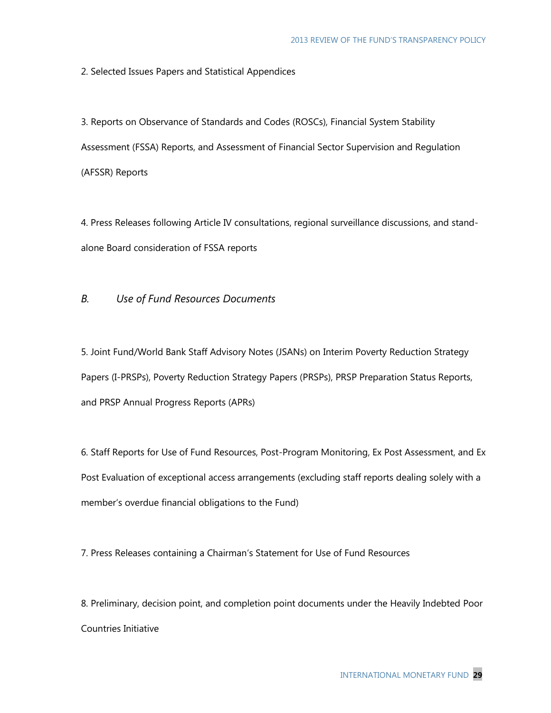2. Selected Issues Papers and Statistical Appendices

3. Reports on Observance of Standards and Codes (ROSCs), Financial System Stability Assessment (FSSA) Reports, and Assessment of Financial Sector Supervision and Regulation (AFSSR) Reports

4. Press Releases following Article IV consultations, regional surveillance discussions, and standalone Board consideration of FSSA reports

# *B. Use of Fund Resources Documents*

5. Joint Fund/World Bank Staff Advisory Notes (JSANs) on Interim Poverty Reduction Strategy Papers (I-PRSPs), Poverty Reduction Strategy Papers (PRSPs), PRSP Preparation Status Reports, and PRSP Annual Progress Reports (APRs)

6. Staff Reports for Use of Fund Resources, Post-Program Monitoring, Ex Post Assessment, and Ex Post Evaluation of exceptional access arrangements (excluding staff reports dealing solely with a member's overdue financial obligations to the Fund)

7. Press Releases containing a Chairman's Statement for Use of Fund Resources

8. Preliminary, decision point, and completion point documents under the Heavily Indebted Poor Countries Initiative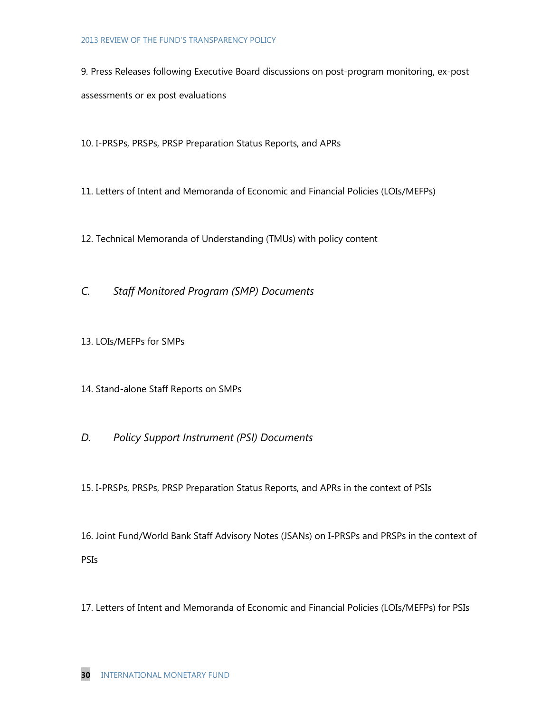#### 2013 REVIEW OF THE FUND'S TRANSPARENCY POLICY

9. Press Releases following Executive Board discussions on post-program monitoring, ex-post assessments or ex post evaluations

10. I-PRSPs, PRSPs, PRSP Preparation Status Reports, and APRs

- 11. Letters of Intent and Memoranda of Economic and Financial Policies (LOIs/MEFPs)
- 12. Technical Memoranda of Understanding (TMUs) with policy content
- *C. Staff Monitored Program (SMP) Documents*
- 13. LOIs/MEFPs for SMPs
- 14. Stand-alone Staff Reports on SMPs
- *D. Policy Support Instrument (PSI) Documents*

15. I-PRSPs, PRSPs, PRSP Preparation Status Reports, and APRs in the context of PSIs

16. Joint Fund/World Bank Staff Advisory Notes (JSANs) on I-PRSPs and PRSPs in the context of PSIs

17. Letters of Intent and Memoranda of Economic and Financial Policies (LOIs/MEFPs) for PSIs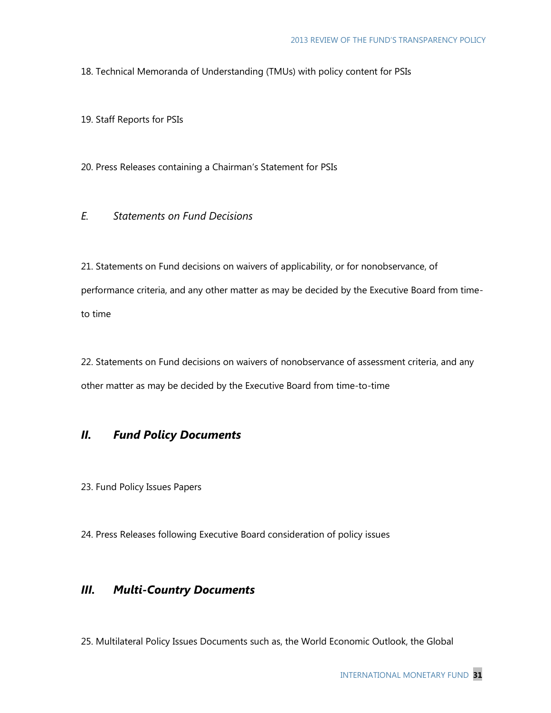18. Technical Memoranda of Understanding (TMUs) with policy content for PSIs

19. Staff Reports for PSIs

20. Press Releases containing a Chairman's Statement for PSIs

*E. Statements on Fund Decisions*

21. Statements on Fund decisions on waivers of applicability, or for nonobservance, of performance criteria, and any other matter as may be decided by the Executive Board from timeto time

22. Statements on Fund decisions on waivers of nonobservance of assessment criteria, and any other matter as may be decided by the Executive Board from time-to-time

# *II. Fund Policy Documents*

23. Fund Policy Issues Papers

24. Press Releases following Executive Board consideration of policy issues

# *III. Multi-Country Documents*

25. Multilateral Policy Issues Documents such as, the World Economic Outlook, the Global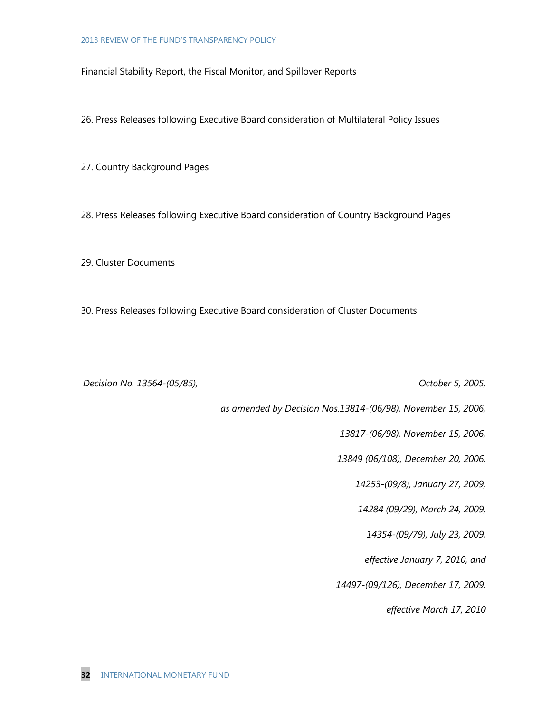Financial Stability Report, the Fiscal Monitor, and Spillover Reports

26. Press Releases following Executive Board consideration of Multilateral Policy Issues

27. Country Background Pages

28. Press Releases following Executive Board consideration of Country Background Pages

29. Cluster Documents

30. Press Releases following Executive Board consideration of Cluster Documents

*Decision No. 13564-(05/85), October 5, 2005,* 

*as amended by Decision Nos.13814-(06/98), November 15, 2006,*

*13817-(06/98), November 15, 2006,*

*13849 (06/108), December 20, 2006,* 

*14253-(09/8), January 27, 2009,*

*14284 (09/29), March 24, 2009,* 

*14354-(09/79), July 23, 2009,* 

*effective January 7, 2010, and*

*14497-(09/126), December 17, 2009,* 

*effective March 17, 2010*

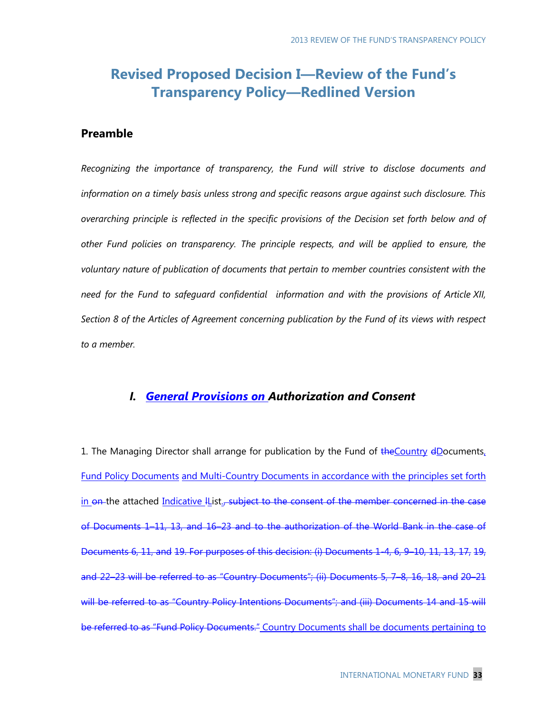# **Revised Proposed Decision I—Review of the Fund's Transparency Policy―Redlined Version**

# **Preamble**

*Recognizing the importance of transparency, the Fund will strive to disclose documents and information on a timely basis unless strong and specific reasons argue against such disclosure. This overarching principle is reflected in the specific provisions of the Decision set forth below and of other Fund policies on transparency. The principle respects, and will be applied to ensure, the voluntary nature of publication of documents that pertain to member countries consistent with the need for the Fund to safeguard confidential information and with the provisions of Article XII, Section 8 of the Articles of Agreement concerning publication by the Fund of its views with respect to a member.* 

# *I. General Provisions on Authorization and Consent*

1. The Managing Director shall arrange for publication by the Fund of the Country dDocuments, Fund Policy Documents and Multi-Country Documents in accordance with the principles set forth in on the attached Indicative IList., subject to the consent of the member concerned in the case of Documents 1–11, 13, and 16–23 and to the authorization of the World Bank in the case of Documents 6, 11, and 19. For purposes of this decision: (i) Documents 1-4, 6, 9–10, 11, 13, 17, 19, and 22–23 will be referred to as "Country Documents"; (ii) Documents 5, 7–8, 16, 18, and 20–21 will be referred to as "Country Policy Intentions Documents"; and (iii) Documents 14 and 15 will be referred to as "Fund Policy Documents." Country Documents shall be documents pertaining to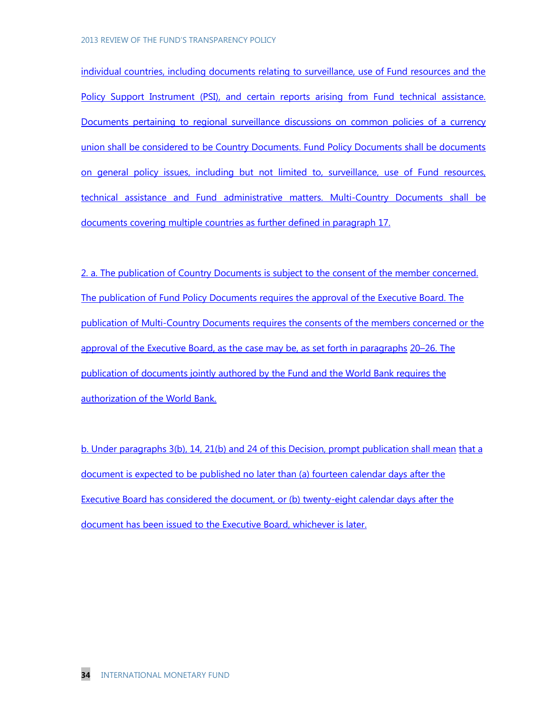individual countries, including documents relating to surveillance, use of Fund resources and the Policy Support Instrument (PSI), and certain reports arising from Fund technical assistance. Documents pertaining to regional surveillance discussions on common policies of a currency union shall be considered to be Country Documents. Fund Policy Documents shall be documents on general policy issues, including but not limited to, surveillance, use of Fund resources, technical assistance and Fund administrative matters. Multi-Country Documents shall be documents covering multiple countries as further defined in paragraph 17.

2. a. The publication of Country Documents is subject to the consent of the member concerned. The publication of Fund Policy Documents requires the approval of the Executive Board. The publication of Multi-Country Documents requires the consents of the members concerned or the approval of the Executive Board, as the case may be, as set forth in paragraphs 20–26. The publication of documents jointly authored by the Fund and the World Bank requires the authorization of the World Bank.

b. Under paragraphs 3(b), 14, 21(b) and 24 of this Decision, prompt publication shall mean that a document is expected to be published no later than (a) fourteen calendar days after the Executive Board has considered the document, or (b) twenty-eight calendar days after the document has been issued to the Executive Board, whichever is later.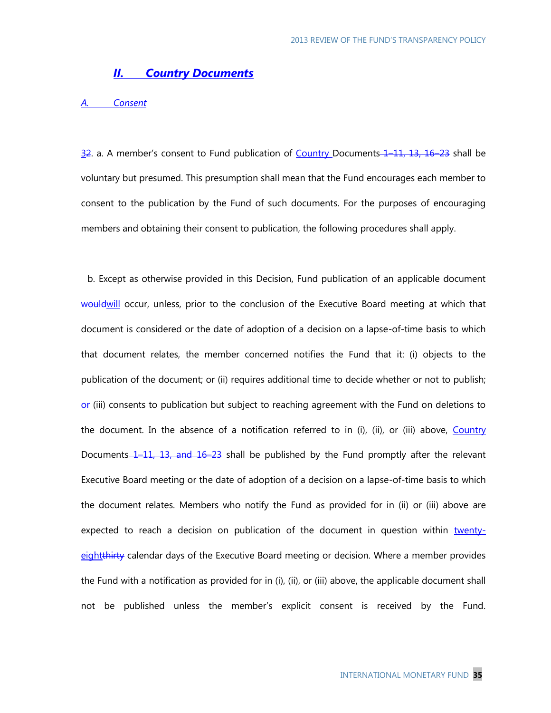# *II. Country Documents*

#### *A. Consent*

32. a. A member's consent to Fund publication of Country Documents 1–11, 13, 16–23 shall be voluntary but presumed. This presumption shall mean that the Fund encourages each member to consent to the publication by the Fund of such documents. For the purposes of encouraging members and obtaining their consent to publication, the following procedures shall apply.

b. Except as otherwise provided in this Decision, Fund publication of an applicable document would will occur, unless, prior to the conclusion of the Executive Board meeting at which that document is considered or the date of adoption of a decision on a lapse-of-time basis to which that document relates, the member concerned notifies the Fund that it: (i) objects to the publication of the document; or (ii) requires additional time to decide whether or not to publish; or (iii) consents to publication but subject to reaching agreement with the Fund on deletions to the document. In the absence of a notification referred to in (i), (ii), or (iii) above, Country Documents 1–11, 13, and 16–23 shall be published by the Fund promptly after the relevant Executive Board meeting or the date of adoption of a decision on a lapse-of-time basis to which the document relates. Members who notify the Fund as provided for in (ii) or (iii) above are expected to reach a decision on publication of the document in question within twentyeightthirty calendar days of the Executive Board meeting or decision. Where a member provides the Fund with a notification as provided for in (i), (ii), or (iii) above, the applicable document shall not be published unless the member's explicit consent is received by the Fund.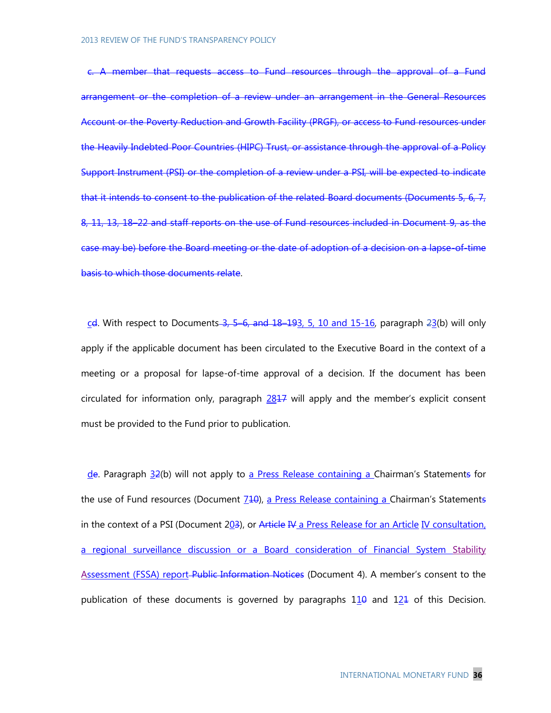c. A member that requests access to Fund resources through the approval of a Fund arrangement or the completion of a review under an arrangement in the General Resources Account or the Poverty Reduction and Growth Facility (PRGF), or access to Fund resources under the Heavily Indebted Poor Countries (HIPC) Trust, or assistance through the approval of a Policy Support Instrument (PSI) or the completion of a review under a PSI, will be expected to indicate that it intends to consent to the publication of the related Board documents (Documents 5, 6, 7, 8, 11, 13, 18–22 and staff reports on the use of Fund resources included in Document 9, as the case may be) before the Board meeting or the date of adoption of a decision on a lapse-of-time basis to which those documents relate.

 $c$ d. With respect to Documents  $-3$ ,  $-5$   $-6$ , and  $18$ - $193$ ,  $-5$ ,  $10$  and  $15$ - $16$ , paragraph  $23$ (b) will only apply if the applicable document has been circulated to the Executive Board in the context of a meeting or a proposal for lapse-of-time approval of a decision. If the document has been circulated for information only, paragraph  $2817$  will apply and the member's explicit consent must be provided to the Fund prior to publication.

de. Paragraph 32(b) will not apply to a Press Release containing a Chairman's Statements for the use of Fund resources (Document  $740$ ), a Press Release containing a Chairman's Statements in the context of a PSI (Document 203), or Article IV a Press Release for an Article IV consultation, a regional surveillance discussion or a Board consideration of Financial System Stability Assessment (FSSA) report-Public Information Notices (Document 4). A member's consent to the publication of these documents is governed by paragraphs  $110$  and  $121$  of this Decision.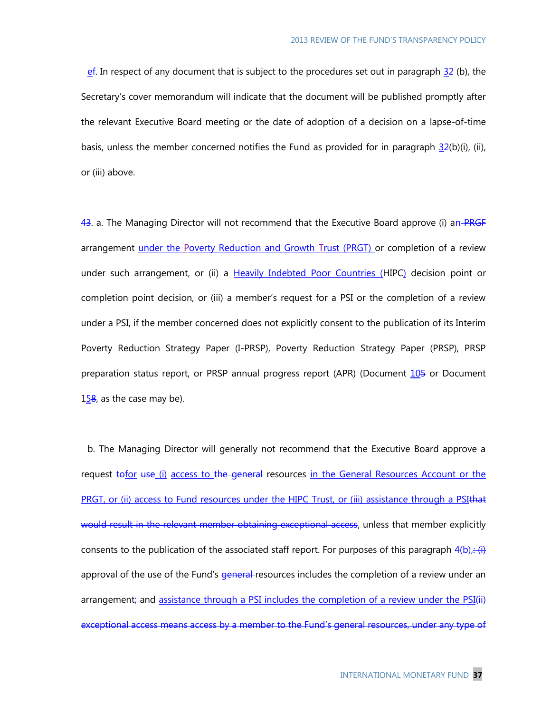$\frac{\text{ef}}{\text{ef}}$ . In respect of any document that is subject to the procedures set out in paragraph  $\frac{32}{2}$ (b), the Secretary's cover memorandum will indicate that the document will be published promptly after the relevant Executive Board meeting or the date of adoption of a decision on a lapse-of-time basis, unless the member concerned notifies the Fund as provided for in paragraph  $32(b)(i)$ , (ii), or (iii) above.

43. a. The Managing Director will not recommend that the Executive Board approve (i) an PRGF arrangement under the Poverty Reduction and Growth Trust (PRGT) or completion of a review under such arrangement, or (ii) a Heavily Indebted Poor Countries (HIPC) decision point or completion point decision, or (iii) a member's request for a PSI or the completion of a review under a PSI, if the member concerned does not explicitly consent to the publication of its Interim Poverty Reduction Strategy Paper (I-PRSP), Poverty Reduction Strategy Paper (PRSP), PRSP preparation status report, or PRSP annual progress report (APR) (Document 105 or Document 158, as the case may be).

b. The Managing Director will generally not recommend that the Executive Board approve a request tofor use (i) access to the general resources in the General Resources Account or the PRGT, or (ii) access to Fund resources under the HIPC Trust, or (iii) assistance through a PSIthat would result in the relevant member obtaining exceptional access, unless that member explicitly consents to the publication of the associated staff report. For purposes of this paragraph  $4(b)$ . (i) approval of the use of the Fund's *general*-resources includes the completion of a review under an arrangement; and assistance through a PSI includes the completion of a review under the PSI(ii) exceptional access means access by a member to the Fund's general resources, under any type of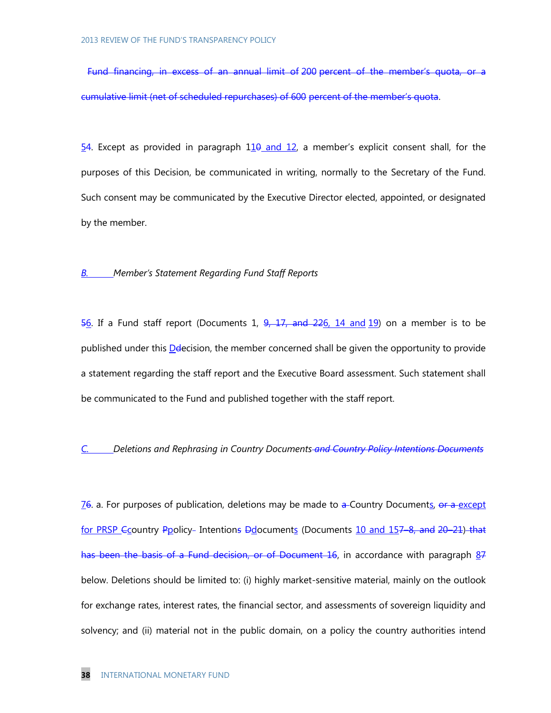Fund financing, in excess of an annual limit of 200 percent of the member's quota, or a cumulative limit (net of scheduled repurchases) of 600 percent of the member's quota.

 $54$ . Except as provided in paragraph  $110$  and  $12$ , a member's explicit consent shall, for the purposes of this Decision, be communicated in writing, normally to the Secretary of the Fund. Such consent may be communicated by the Executive Director elected, appointed, or designated by the member.

#### *B. Member's Statement Regarding Fund Staff Reports*

 $\frac{56}{6}$ . If a Fund staff report (Documents 1,  $\frac{9}{27}$ ,  $\frac{17}{20}$ ,  $\frac{14}{26}$ ,  $\frac{14}{20}$  on a member is to be published under this Delecision, the member concerned shall be given the opportunity to provide a statement regarding the staff report and the Executive Board assessment. Such statement shall be communicated to the Fund and published together with the staff report.

# *C. Deletions and Rephrasing in Country Documents and Country Policy Intentions Documents*

76. a. For purposes of publication, deletions may be made to a-Country Documents, or a except for PRSP Ecountry Ppolicy- Intentions Ddocuments (Documents 10 and 157-8, and 20-21) that has been the basis of a Fund decision, or of Document 16, in accordance with paragraph 87 below. Deletions should be limited to: (i) highly market-sensitive material, mainly on the outlook for exchange rates, interest rates, the financial sector, and assessments of sovereign liquidity and solvency; and (ii) material not in the public domain, on a policy the country authorities intend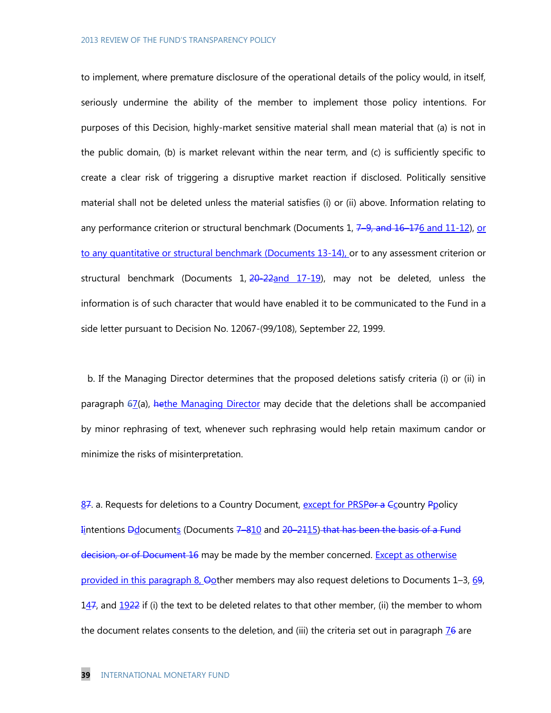to implement, where premature disclosure of the operational details of the policy would, in itself, seriously undermine the ability of the member to implement those policy intentions. For purposes of this Decision, highly-market sensitive material shall mean material that (a) is not in the public domain, (b) is market relevant within the near term, and (c) is sufficiently specific to create a clear risk of triggering a disruptive market reaction if disclosed. Politically sensitive material shall not be deleted unless the material satisfies (i) or (ii) above. Information relating to any performance criterion or structural benchmark (Documents 1,  $7-9$ , and  $16-176$  and  $11-12$ ), or to any quantitative or structural benchmark (Documents 13-14), or to any assessment criterion or structural benchmark (Documents  $1, \frac{20-22}{2}$ and  $17-19$ ), may not be deleted, unless the information is of such character that would have enabled it to be communicated to the Fund in a side letter pursuant to Decision No. 12067-(99/108), September 22, 1999.

b. If the Managing Director determines that the proposed deletions satisfy criteria (i) or (ii) in paragraph 67(a), hethe Managing Director may decide that the deletions shall be accompanied by minor rephrasing of text, whenever such rephrasing would help retain maximum candor or minimize the risks of misinterpretation.

87. a. Requests for deletions to a Country Document, except for PRSPor a Ccountry Ppolicy Intentions **D**documents (Documents 7-810 and 20-2115) that has been the basis of a Fund decision, or of Document 16 may be made by the member concerned. Except as otherwise provided in this paragraph 8,  $\Theta$ other members may also request deletions to Documents 1–3, 69, 147, and  $1922$  if (i) the text to be deleted relates to that other member, (ii) the member to whom the document relates consents to the deletion, and (iii) the criteria set out in paragraph  $\frac{76}{10}$  are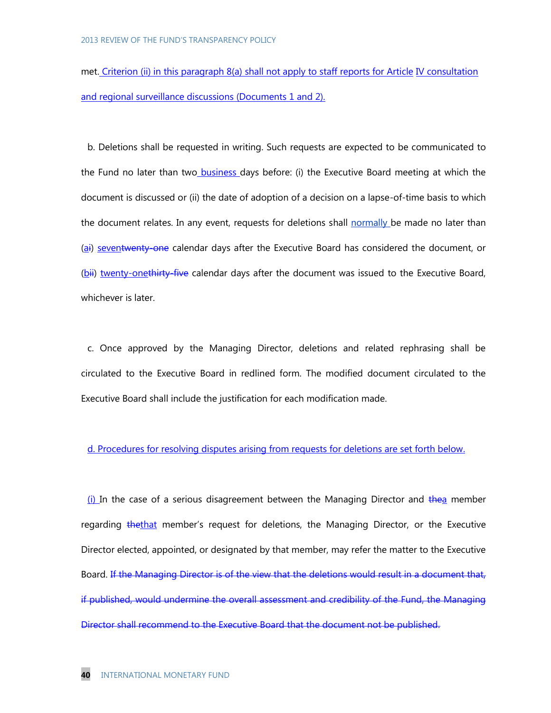met. Criterion (ii) in this paragraph 8(a) shall not apply to staff reports for Article IV consultation and regional surveillance discussions (Documents 1 and 2).

b. Deletions shall be requested in writing. Such requests are expected to be communicated to the Fund no later than two business days before: (i) the Executive Board meeting at which the document is discussed or (ii) the date of adoption of a decision on a lapse-of-time basis to which the document relates. In any event, requests for deletions shall normally be made no later than (ai) seventwenty-one calendar days after the Executive Board has considered the document, or (bii) twenty-onethirty-five calendar days after the document was issued to the Executive Board, whichever is later.

c. Once approved by the Managing Director, deletions and related rephrasing shall be circulated to the Executive Board in redlined form. The modified document circulated to the Executive Board shall include the justification for each modification made.

#### d. Procedures for resolving disputes arising from requests for deletions are set forth below.

(i) In the case of a serious disagreement between the Managing Director and the member regarding thethat member's request for deletions, the Managing Director, or the Executive Director elected, appointed, or designated by that member, may refer the matter to the Executive Board. If the Managing Director is of the view that the deletions would result in a document that, if published, would undermine the overall assessment and credibility of the Fund, the Managing Director shall recommend to the Executive Board that the document not be published.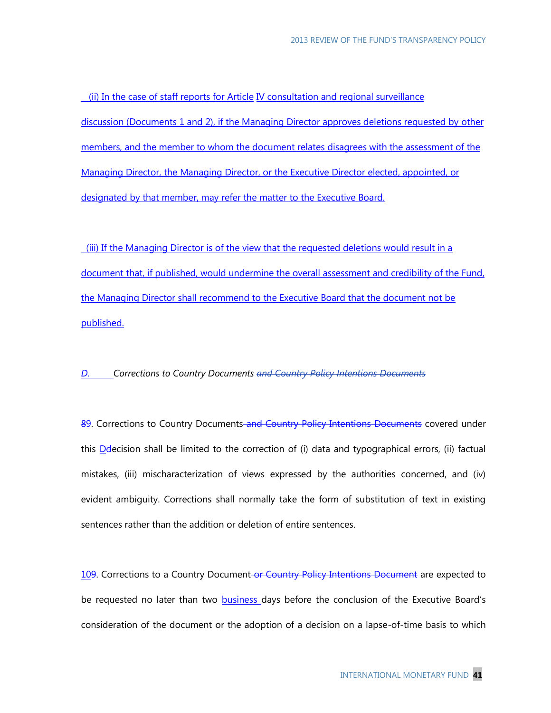(ii) In the case of staff reports for Article IV consultation and regional surveillance discussion (Documents 1 and 2), if the Managing Director approves deletions requested by other members, and the member to whom the document relates disagrees with the assessment of the Managing Director, the Managing Director, or the Executive Director elected, appointed, or designated by that member, may refer the matter to the Executive Board.

(iii) If the Managing Director is of the view that the requested deletions would result in a document that, if published, would undermine the overall assessment and credibility of the Fund, the Managing Director shall recommend to the Executive Board that the document not be published.

#### *D. Corrections to Country Documents and Country Policy Intentions Documents*

89. Corrections to Country Documents and Country Policy Intentions Documents covered under this  $D$  decision shall be limited to the correction of (i) data and typographical errors, (ii) factual mistakes, (iii) mischaracterization of views expressed by the authorities concerned, and (iv) evident ambiguity. Corrections shall normally take the form of substitution of text in existing sentences rather than the addition or deletion of entire sentences.

109. Corrections to a Country Document-or Country Policy Intentions Document are expected to be requested no later than two **business** days before the conclusion of the Executive Board's consideration of the document or the adoption of a decision on a lapse-of-time basis to which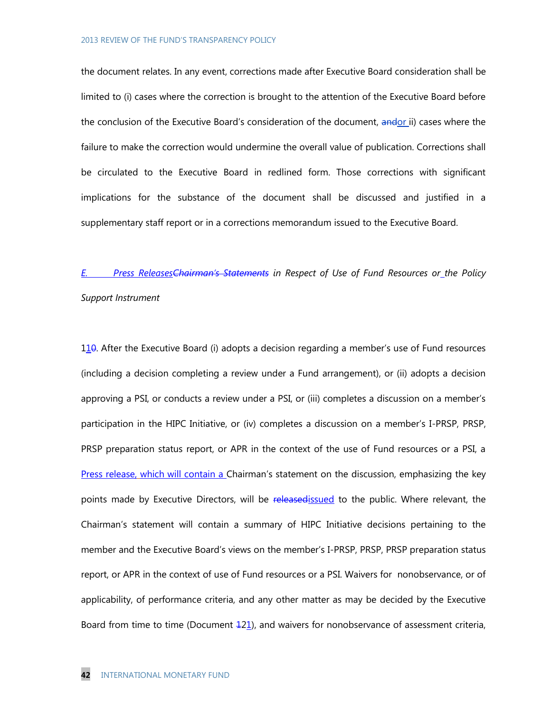the document relates. In any event, corrections made after Executive Board consideration shall be limited to (i) cases where the correction is brought to the attention of the Executive Board before the conclusion of the Executive Board's consideration of the document, andor ii) cases where the failure to make the correction would undermine the overall value of publication. Corrections shall be circulated to the Executive Board in redlined form. Those corrections with significant implications for the substance of the document shall be discussed and justified in a supplementary staff report or in a corrections memorandum issued to the Executive Board.

# *E. Press ReleasesChairman's Statements in Respect of Use of Fund Resources or the Policy*

#### *Support Instrument*

110. After the Executive Board (i) adopts a decision regarding a member's use of Fund resources (including a decision completing a review under a Fund arrangement), or (ii) adopts a decision approving a PSI, or conducts a review under a PSI, or (iii) completes a discussion on a member's participation in the HIPC Initiative, or (iv) completes a discussion on a member's I-PRSP, PRSP, PRSP preparation status report, or APR in the context of the use of Fund resources or a PSI, a Press release, which will contain a Chairman's statement on the discussion, emphasizing the key points made by Executive Directors, will be releasedissued to the public. Where relevant, the Chairman's statement will contain a summary of HIPC Initiative decisions pertaining to the member and the Executive Board's views on the member's I-PRSP, PRSP, PRSP preparation status report, or APR in the context of use of Fund resources or a PSI. Waivers for nonobservance, or of applicability, of performance criteria, and any other matter as may be decided by the Executive Board from time to time (Document  $\pm 21$ ), and waivers for nonobservance of assessment criteria,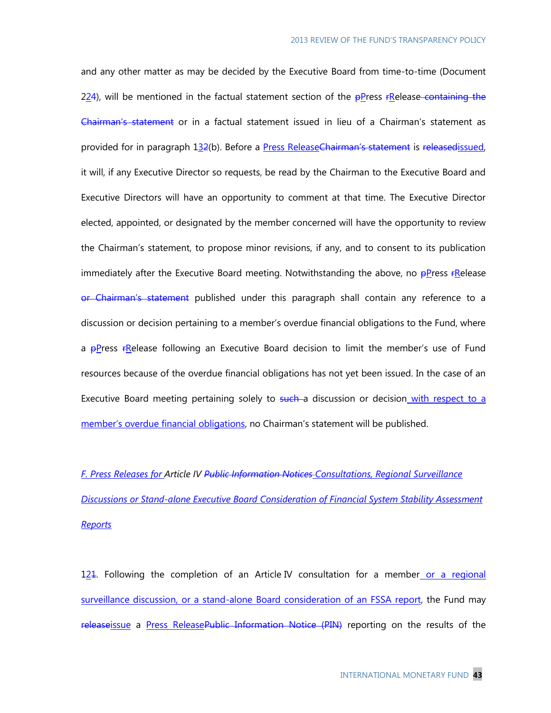and any other matter as may be decided by the Executive Board from time-to-time (Document 224), will be mentioned in the factual statement section of the  $\frac{p}{p}$  ress  $r$ Release-containing the Chairman's statement or in a factual statement issued in lieu of a Chairman's statement as provided for in paragraph 132(b). Before a Press Release Chairman's statement is released issued, it will, if any Executive Director so requests, be read by the Chairman to the Executive Board and Executive Directors will have an opportunity to comment at that time. The Executive Director elected, appointed, or designated by the member concerned will have the opportunity to review the Chairman's statement, to propose minor revisions, if any, and to consent to its publication immediately after the Executive Board meeting. Notwithstanding the above, no  $\frac{p}{r}$ Press  $r$ Release or Chairman's statement published under this paragraph shall contain any reference to a discussion or decision pertaining to a member's overdue financial obligations to the Fund, where a  $p$ Press  $f$ Release following an Executive Board decision to limit the member's use of Fund resources because of the overdue financial obligations has not yet been issued. In the case of an Executive Board meeting pertaining solely to such a discussion or decision with respect to a member's overdue financial obligations, no Chairman's statement will be published.

*F. Press Releases for Article IV Public Information Notices Consultations, Regional Surveillance Discussions or Stand-alone Executive Board Consideration of Financial System Stability Assessment Reports*

121. Following the completion of an Article IV consultation for a member or a regional surveillance discussion, or a stand-alone Board consideration of an FSSA report, the Fund may releaseissue a Press ReleasePublic Information Notice (PIN) reporting on the results of the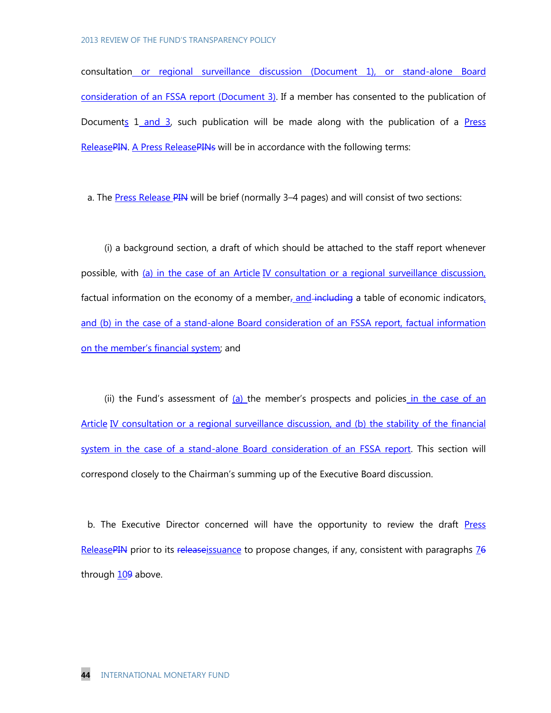consultation or regional surveillance discussion (Document 1), or stand-alone Board consideration of an FSSA report (Document 3). If a member has consented to the publication of Documents 1 and 3, such publication will be made along with the publication of a Press ReleasePIN. A Press ReleasePINs will be in accordance with the following terms:

a. The Press Release PIN will be brief (normally 3–4 pages) and will consist of two sections:

 (i) a background section, a draft of which should be attached to the staff report whenever possible, with (a) in the case of an Article IV consultation or a regional surveillance discussion, factual information on the economy of a member, and including a table of economic indicators, and (b) in the case of a stand-alone Board consideration of an FSSA report, factual information on the member's financial system; and

(ii) the Fund's assessment of  $(a)$  the member's prospects and policies in the case of an Article IV consultation or a regional surveillance discussion, and (b) the stability of the financial system in the case of a stand-alone Board consideration of an FSSA report. This section will correspond closely to the Chairman's summing up of the Executive Board discussion.

b. The Executive Director concerned will have the opportunity to review the draft Press ReleasePIN prior to its releaseissuance to propose changes, if any, consistent with paragraphs  $76$ through 109 above.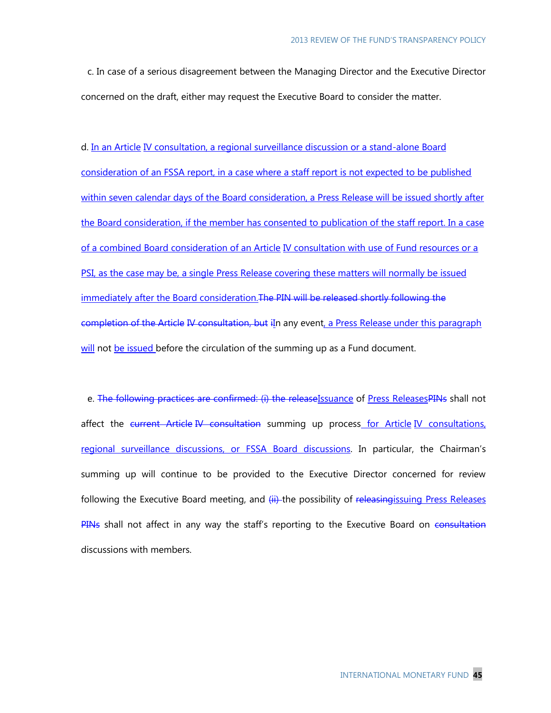c. In case of a serious disagreement between the Managing Director and the Executive Director concerned on the draft, either may request the Executive Board to consider the matter.

d. In an Article IV consultation, a regional surveillance discussion or a stand-alone Board consideration of an FSSA report, in a case where a staff report is not expected to be published within seven calendar days of the Board consideration, a Press Release will be issued shortly after the Board consideration, if the member has consented to publication of the staff report. In a case of a combined Board consideration of an Article IV consultation with use of Fund resources or a PSI, as the case may be, a single Press Release covering these matters will normally be issued immediately after the Board consideration. The PIN will be released shortly following the completion of the Article IV consultation, but iIn any event, a Press Release under this paragraph will not be issued before the circulation of the summing up as a Fund document.

e. The following practices are confirmed: (i) the releaseIssuance of Press ReleasesPINs shall not affect the current Article IV consultation summing up process for Article IV consultations, regional surveillance discussions, or FSSA Board discussions. In particular, the Chairman's summing up will continue to be provided to the Executive Director concerned for review following the Executive Board meeting, and (ii) the possibility of releasing issuing Press Releases PINs shall not affect in any way the staff's reporting to the Executive Board on consultation discussions with members.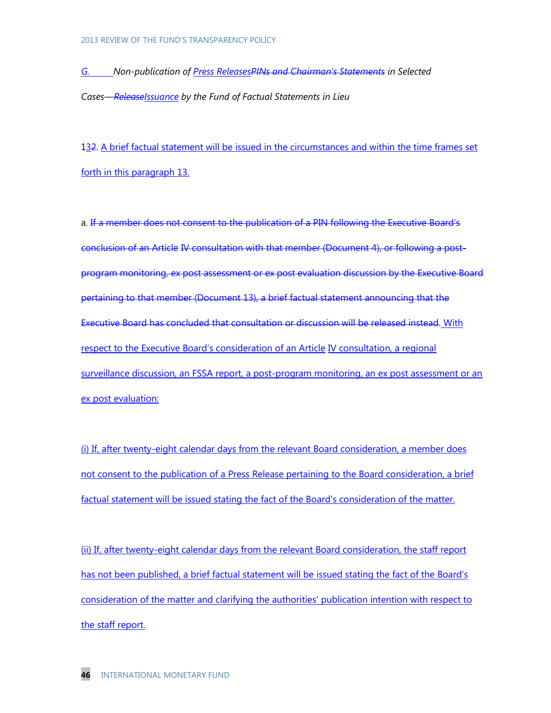*G. Non-publication of Press ReleasesPINs and Chairman's Statements in Selected Cases—ReleaseIssuance by the Fund of Factual Statements in Lieu* 

132. A brief factual statement will be issued in the circumstances and within the time frames set forth in this paragraph 13.

a. If a member does not consent to the publication of a PIN following the Executive Board's conclusion of an Article IV consultation with that member (Document 4), or following a postprogram monitoring, ex post assessment or ex post evaluation discussion by the Executive Board pertaining to that member (Document 13), a brief factual statement announcing that the Executive Board has concluded that consultation or discussion will be released instead. With respect to the Executive Board's consideration of an Article IV consultation, a regional surveillance discussion, an FSSA report, a post-program monitoring, an ex post assessment or an ex post evaluation:

(i) If, after twenty-eight calendar days from the relevant Board consideration, a member does not consent to the publication of a Press Release pertaining to the Board consideration, a brief factual statement will be issued stating the fact of the Board's consideration of the matter.

(ii) If, after twenty-eight calendar days from the relevant Board consideration, the staff report has not been published, a brief factual statement will be issued stating the fact of the Board's consideration of the matter and clarifying the authorities' publication intention with respect to the staff report.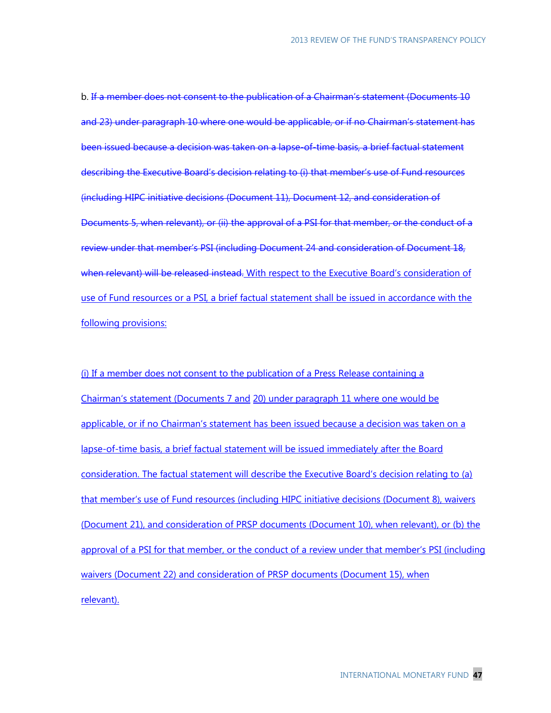b. If a member does not consent to the publication of a Chairman's statement (Documents 10 and 23) under paragraph 10 where one would be applicable, or if no Chairman's statement has been issued because a decision was taken on a lapse-of-time basis, a brief factual statement describing the Executive Board's decision relating to (i) that member's use of Fund resources (including HIPC initiative decisions (Document 11), Document 12, and consideration of Documents 5, when relevant), or (ii) the approval of a PSI for that member, or the conduct of a review under that member's PSI (including Document 24 and consideration of Document 18, when relevant) will be released instead. With respect to the Executive Board's consideration of use of Fund resources or a PSI, a brief factual statement shall be issued in accordance with the following provisions:

(i) If a member does not consent to the publication of a Press Release containing a Chairman's statement (Documents 7 and 20) under paragraph 11 where one would be applicable, or if no Chairman's statement has been issued because a decision was taken on a lapse-of-time basis, a brief factual statement will be issued immediately after the Board consideration. The factual statement will describe the Executive Board's decision relating to (a) that member's use of Fund resources (including HIPC initiative decisions (Document 8), waivers (Document 21), and consideration of PRSP documents (Document 10), when relevant), or (b) the approval of a PSI for that member, or the conduct of a review under that member's PSI (including waivers (Document 22) and consideration of PRSP documents (Document 15), when relevant).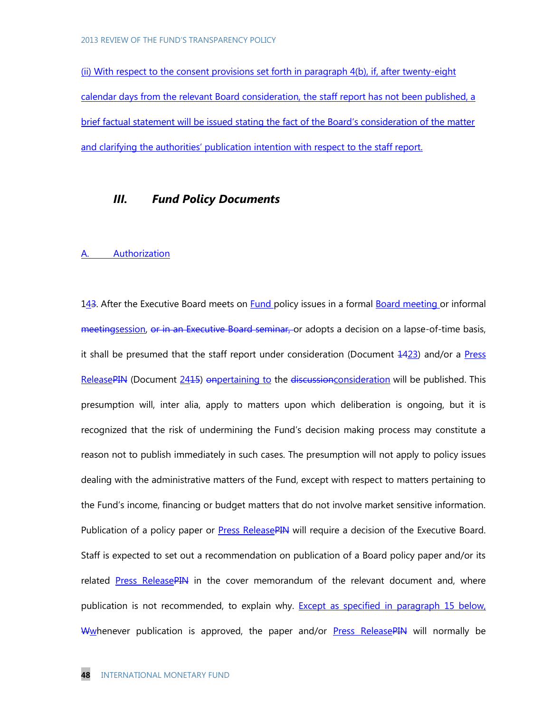(ii) With respect to the consent provisions set forth in paragraph 4(b), if, after twenty-eight calendar days from the relevant Board consideration, the staff report has not been published, a brief factual statement will be issued stating the fact of the Board's consideration of the matter and clarifying the authorities' publication intention with respect to the staff report.

# *III. Fund Policy Documents*

#### **Authorization**

143. After the Executive Board meets on Fund policy issues in a formal Board meeting or informal meetingsession, or in an Executive Board seminar, or adopts a decision on a lapse-of-time basis, it shall be presumed that the staff report under consideration (Document 1423) and/or a Press ReleasePIN (Document 2415) onpertaining to the discussion consideration will be published. This presumption will, inter alia, apply to matters upon which deliberation is ongoing, but it is recognized that the risk of undermining the Fund's decision making process may constitute a reason not to publish immediately in such cases. The presumption will not apply to policy issues dealing with the administrative matters of the Fund, except with respect to matters pertaining to the Fund's income, financing or budget matters that do not involve market sensitive information. Publication of a policy paper or **Press ReleasePIN** will require a decision of the Executive Board. Staff is expected to set out a recommendation on publication of a Board policy paper and/or its related Press ReleasePIN in the cover memorandum of the relevant document and, where publication is not recommended, to explain why. Except as specified in paragraph 15 below, Wwhenever publication is approved, the paper and/or Press ReleasePIN will normally be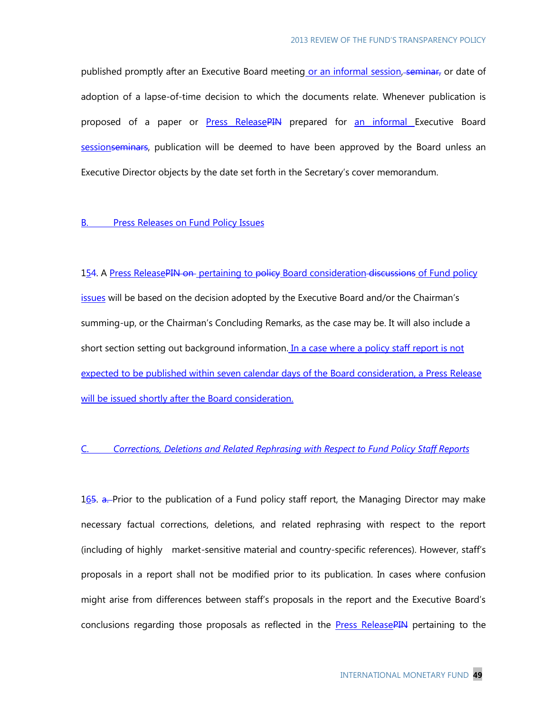published promptly after an Executive Board meeting or an informal session, seminar, or date of adoption of a lapse-of-time decision to which the documents relate. Whenever publication is proposed of a paper or **Press ReleasePIN** prepared for an informal Executive Board sessionseminars, publication will be deemed to have been approved by the Board unless an Executive Director objects by the date set forth in the Secretary's cover memorandum.

#### **B.** Press Releases on Fund Policy Issues

154. A Press ReleasePIN on pertaining to policy Board consideration discussions of Fund policy issues will be based on the decision adopted by the Executive Board and/or the Chairman's summing-up, or the Chairman's Concluding Remarks, as the case may be. It will also include a short section setting out background information. In a case where a policy staff report is not expected to be published within seven calendar days of the Board consideration, a Press Release will be issued shortly after the Board consideration.

#### C. *Corrections, Deletions and Related Rephrasing with Respect to Fund Policy Staff Reports*

165. a. Prior to the publication of a Fund policy staff report, the Managing Director may make necessary factual corrections, deletions, and related rephrasing with respect to the report (including of highly market-sensitive material and country-specific references). However, staff's proposals in a report shall not be modified prior to its publication. In cases where confusion might arise from differences between staff's proposals in the report and the Executive Board's conclusions regarding those proposals as reflected in the Press ReleasePIN pertaining to the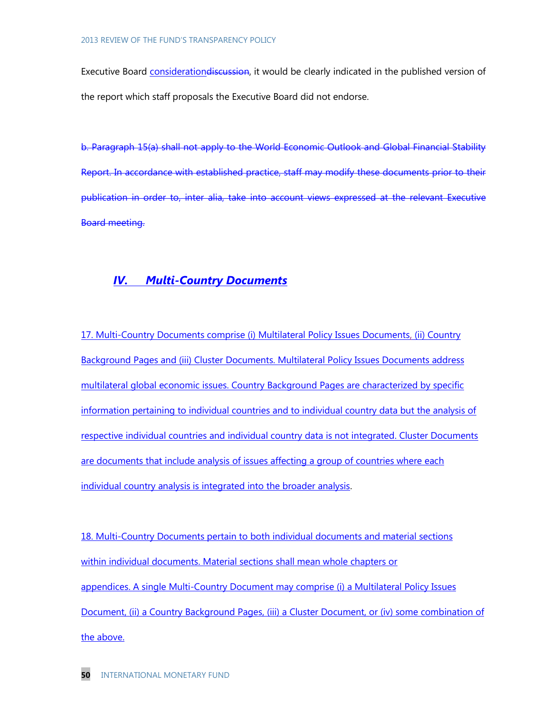Executive Board considerationdiscussion, it would be clearly indicated in the published version of the report which staff proposals the Executive Board did not endorse.

b. Paragraph 15(a) shall not apply to the World Economic Outlook and Global Financial Stability Report. In accordance with established practice, staff may modify these documents prior to their publication in order to, inter alia, take into account views expressed at the relevant Executive Board meeting.

# *IV. Multi-Country Documents*

17. Multi-Country Documents comprise (i) Multilateral Policy Issues Documents, (ii) Country Background Pages and (iii) Cluster Documents. Multilateral Policy Issues Documents address multilateral global economic issues. Country Background Pages are characterized by specific information pertaining to individual countries and to individual country data but the analysis of respective individual countries and individual country data is not integrated. Cluster Documents are documents that include analysis of issues affecting a group of countries where each individual country analysis is integrated into the broader analysis.

18. Multi-Country Documents pertain to both individual documents and material sections within individual documents. Material sections shall mean whole chapters or appendices. A single Multi-Country Document may comprise (i) a Multilateral Policy Issues Document, (ii) a Country Background Pages, (iii) a Cluster Document, or (iv) some combination of the above.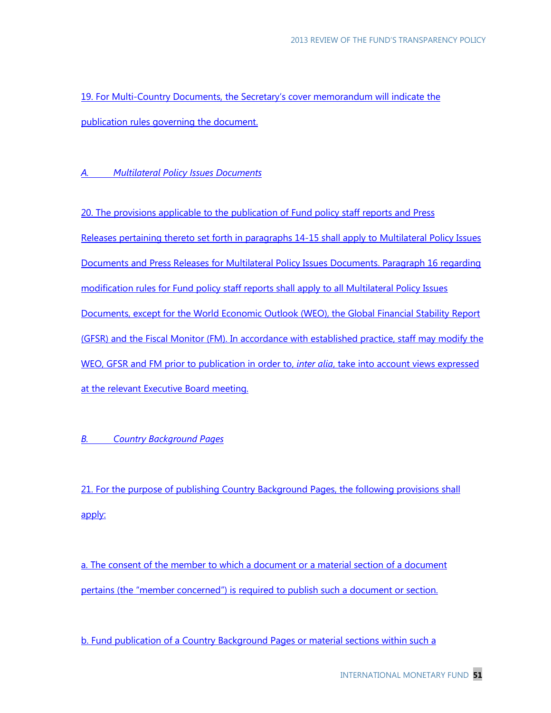19. For Multi-Country Documents, the Secretary's cover memorandum will indicate the publication rules governing the document.

#### *A. Multilateral Policy Issues Documents*

20. The provisions applicable to the publication of Fund policy staff reports and Press Releases pertaining thereto set forth in paragraphs 14-15 shall apply to Multilateral Policy Issues Documents and Press Releases for Multilateral Policy Issues Documents. Paragraph 16 regarding modification rules for Fund policy staff reports shall apply to all Multilateral Policy Issues Documents, except for the World Economic Outlook (WEO), the Global Financial Stability Report (GFSR) and the Fiscal Monitor (FM). In accordance with established practice, staff may modify the WEO, GFSR and FM prior to publication in order to, *inter alia*, take into account views expressed at the relevant Executive Board meeting.

#### *B. Country Background Pages*

21. For the purpose of publishing Country Background Pages, the following provisions shall apply:

a. The consent of the member to which a document or a material section of a document pertains (the "member concerned") is required to publish such a document or section.

b. Fund publication of a Country Background Pages or material sections within such a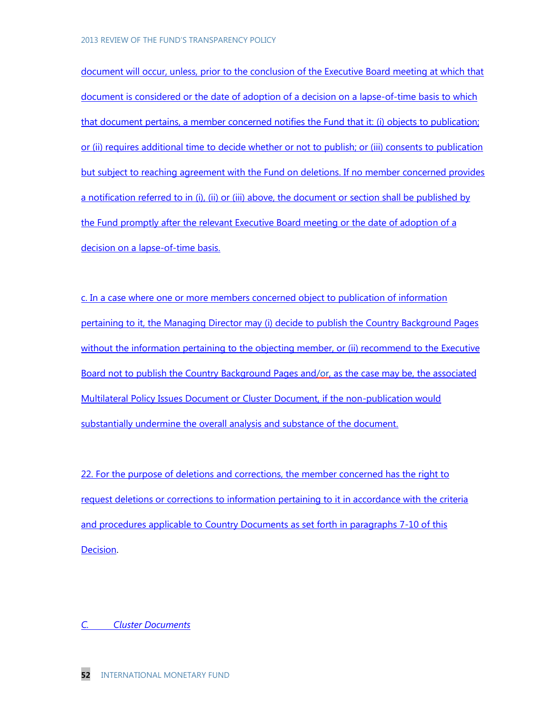document will occur, unless, prior to the conclusion of the Executive Board meeting at which that document is considered or the date of adoption of a decision on a lapse-of-time basis to which that document pertains, a member concerned notifies the Fund that it: (i) objects to publication; or (ii) requires additional time to decide whether or not to publish; or (iii) consents to publication but subject to reaching agreement with the Fund on deletions. If no member concerned provides a notification referred to in (i), (ii) or (iii) above, the document or section shall be published by the Fund promptly after the relevant Executive Board meeting or the date of adoption of a decision on a lapse-of-time basis.

c. In a case where one or more members concerned object to publication of information pertaining to it, the Managing Director may (i) decide to publish the Country Background Pages without the information pertaining to the objecting member, or (ii) recommend to the Executive Board not to publish the Country Background Pages and/or, as the case may be, the associated Multilateral Policy Issues Document or Cluster Document, if the non-publication would substantially undermine the overall analysis and substance of the document.

22. For the purpose of deletions and corrections, the member concerned has the right to request deletions or corrections to information pertaining to it in accordance with the criteria and procedures applicable to Country Documents as set forth in paragraphs 7-10 of this Decision.

*C. Cluster Documents*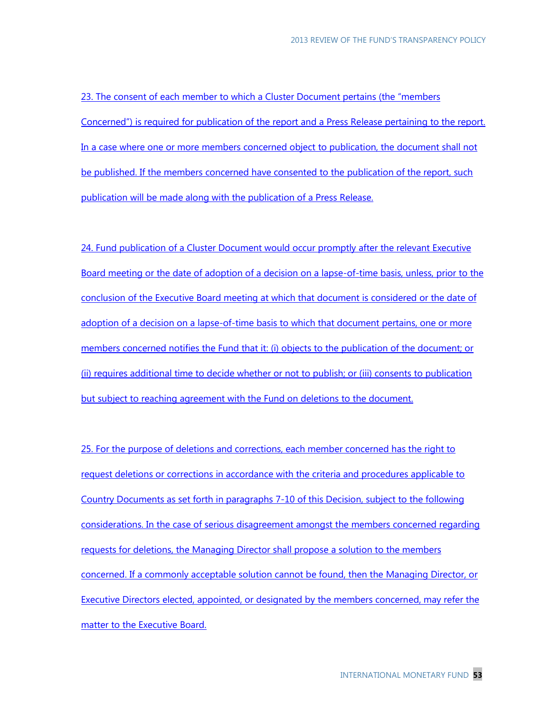23. The consent of each member to which a Cluster Document pertains (the "members Concerned") is required for publication of the report and a Press Release pertaining to the report. In a case where one or more members concerned object to publication, the document shall not be published. If the members concerned have consented to the publication of the report, such publication will be made along with the publication of a Press Release.

24. Fund publication of a Cluster Document would occur promptly after the relevant Executive Board meeting or the date of adoption of a decision on a lapse-of-time basis, unless, prior to the conclusion of the Executive Board meeting at which that document is considered or the date of adoption of a decision on a lapse-of-time basis to which that document pertains, one or more members concerned notifies the Fund that it: (i) objects to the publication of the document; or (ii) requires additional time to decide whether or not to publish; or (iii) consents to publication but subject to reaching agreement with the Fund on deletions to the document.

25. For the purpose of deletions and corrections, each member concerned has the right to request deletions or corrections in accordance with the criteria and procedures applicable to Country Documents as set forth in paragraphs 7-10 of this Decision, subject to the following considerations. In the case of serious disagreement amongst the members concerned regarding requests for deletions, the Managing Director shall propose a solution to the members concerned. If a commonly acceptable solution cannot be found, then the Managing Director, or Executive Directors elected, appointed, or designated by the members concerned, may refer the matter to the Executive Board.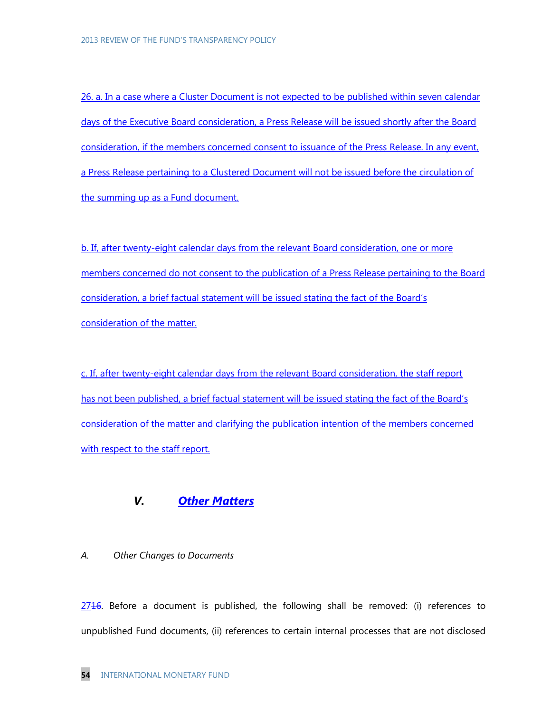26. a. In a case where a Cluster Document is not expected to be published within seven calendar days of the Executive Board consideration, a Press Release will be issued shortly after the Board consideration, if the members concerned consent to issuance of the Press Release. In any event, a Press Release pertaining to a Clustered Document will not be issued before the circulation of the summing up as a Fund document.

b. If, after twenty-eight calendar days from the relevant Board consideration, one or more members concerned do not consent to the publication of a Press Release pertaining to the Board consideration, a brief factual statement will be issued stating the fact of the Board's consideration of the matter.

c. If, after twenty-eight calendar days from the relevant Board consideration, the staff report has not been published, a brief factual statement will be issued stating the fact of the Board's consideration of the matter and clarifying the publication intention of the members concerned with respect to the staff report.

# *V. Other Matters*

#### *A. Other Changes to Documents*

 $2716$ . Before a document is published, the following shall be removed: (i) references to unpublished Fund documents, (ii) references to certain internal processes that are not disclosed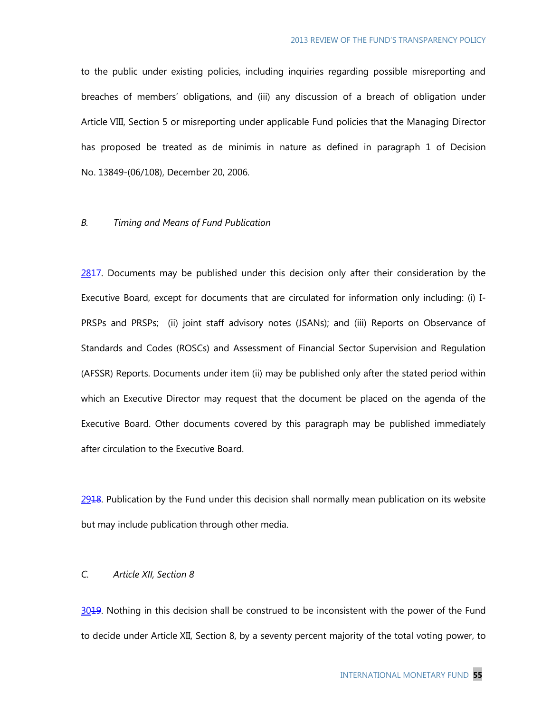to the public under existing policies, including inquiries regarding possible misreporting and breaches of members' obligations, and (iii) any discussion of a breach of obligation under Article VIII, Section 5 or misreporting under applicable Fund policies that the Managing Director has proposed be treated as de minimis in nature as defined in paragraph 1 of Decision No. 13849-(06/108), December 20, 2006.

#### *B. Timing and Means of Fund Publication*

2817. Documents may be published under this decision only after their consideration by the Executive Board, except for documents that are circulated for information only including: (i) I-PRSPs and PRSPs; (ii) joint staff advisory notes (JSANs); and (iii) Reports on Observance of Standards and Codes (ROSCs) and Assessment of Financial Sector Supervision and Regulation (AFSSR) Reports. Documents under item (ii) may be published only after the stated period within which an Executive Director may request that the document be placed on the agenda of the Executive Board. Other documents covered by this paragraph may be published immediately after circulation to the Executive Board.

 $2918$ . Publication by the Fund under this decision shall normally mean publication on its website but may include publication through other media.

# *C. Article XII, Section 8*

3019. Nothing in this decision shall be construed to be inconsistent with the power of the Fund to decide under Article XII, Section 8, by a seventy percent majority of the total voting power, to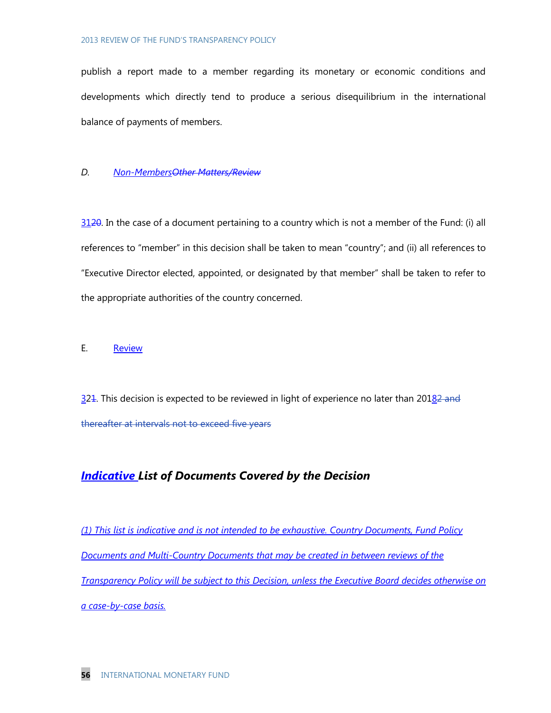publish a report made to a member regarding its monetary or economic conditions and developments which directly tend to produce a serious disequilibrium in the international balance of payments of members.

#### *D. Non-MembersOther Matters/Review*

 $3120$ . In the case of a document pertaining to a country which is not a member of the Fund: (i) all references to "member" in this decision shall be taken to mean "country"; and (ii) all references to "Executive Director elected, appointed, or designated by that member" shall be taken to refer to the appropriate authorities of the country concerned.

#### E. Review

 $324$ . This decision is expected to be reviewed in light of experience no later than  $20182$  and thereafter at intervals not to exceed five years

# *Indicative List of Documents Covered by the Decision*

*(1) This list is indicative and is not intended to be exhaustive. Country Documents, Fund Policy Documents and Multi-Country Documents that may be created in between reviews of the Transparency Policy will be subject to this Decision, unless the Executive Board decides otherwise on a case-by-case basis.*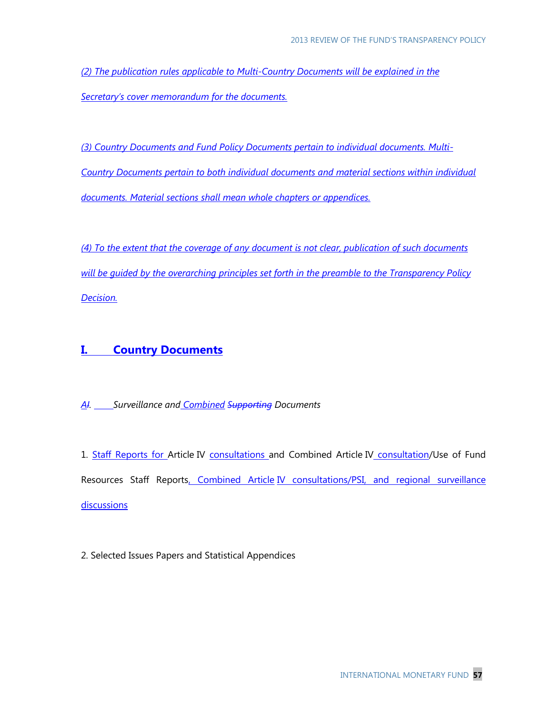*(2) The publication rules applicable to Multi-Country Documents will be explained in the Secretary's cover memorandum for the documents.*

*(3) Country Documents and Fund Policy Documents pertain to individual documents. Multi-Country Documents pertain to both individual documents and material sections within individual documents. Material sections shall mean whole chapters or appendices.*

*(4) To the extent that the coverage of any document is not clear, publication of such documents will be guided by the overarching principles set forth in the preamble to the Transparency Policy Decision.*

# **I. Country Documents**

*AI. Surveillance and Combined Supporting Documents*

1. Staff Reports for Article IV consultations and Combined Article IV consultation/Use of Fund Resources Staff Reports, Combined Article IV consultations/PSI, and regional surveillance **discussions** 

2. Selected Issues Papers and Statistical Appendices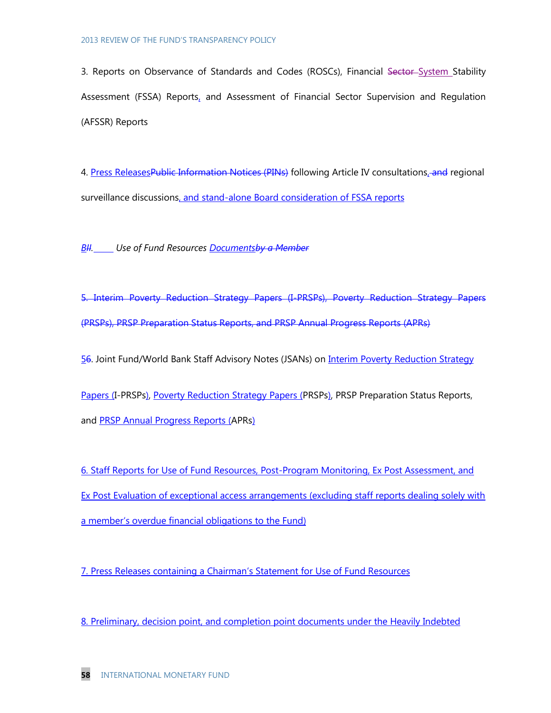3. Reports on Observance of Standards and Codes (ROSCs), Financial Sector-System Stability Assessment (FSSA) Reports, and Assessment of Financial Sector Supervision and Regulation (AFSSR) Reports

4. Press ReleasesPublic Information Notices (PINs) following Article IV consultations, and regional surveillance discussions, and stand-alone Board consideration of FSSA reports

*BII. Use of Fund Resources Documentsby a Member*

5. Interim Poverty Reduction Strategy Papers (I-PRSPs), Poverty Reduction Strategy Papers (PRSPs), PRSP Preparation Status Reports, and PRSP Annual Progress Reports (APRs)

56. Joint Fund/World Bank Staff Advisory Notes (JSANs) on *Interim Poverty Reduction Strategy* 

Papers (I-PRSPs), Poverty Reduction Strategy Papers (PRSPs), PRSP Preparation Status Reports, and PRSP Annual Progress Reports (APRs)

6. Staff Reports for Use of Fund Resources, Post-Program Monitoring, Ex Post Assessment, and Ex Post Evaluation of exceptional access arrangements (excluding staff reports dealing solely with a member's overdue financial obligations to the Fund)

7. Press Releases containing a Chairman's Statement for Use of Fund Resources

8. Preliminary, decision point, and completion point documents under the Heavily Indebted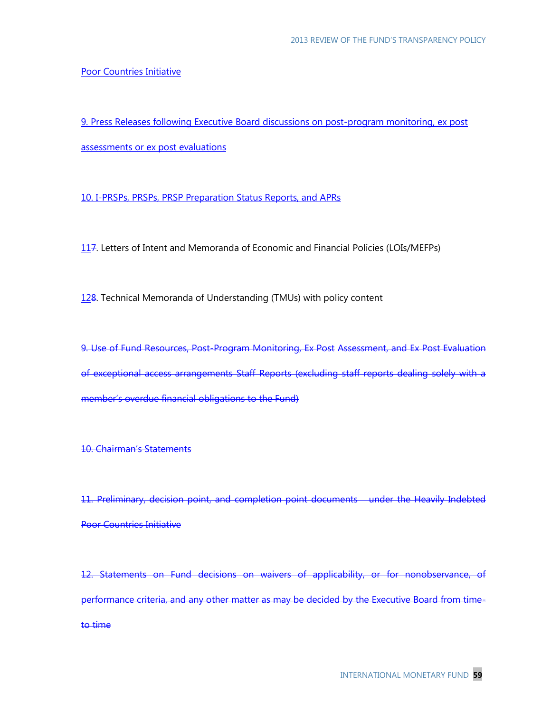#### Poor Countries Initiative

9. Press Releases following Executive Board discussions on post-program monitoring, ex post assessments or ex post evaluations

10. I-PRSPs, PRSPs, PRSP Preparation Status Reports, and APRs

117. Letters of Intent and Memoranda of Economic and Financial Policies (LOIs/MEFPs)

128. Technical Memoranda of Understanding (TMUs) with policy content

9. Use of Fund Resources, Post-Program Monitoring, Ex Post Assessment, and Ex Post Evaluation of exceptional access arrangements Staff Reports (excluding staff reports dealing solely with a member's overdue financial obligations to the Fund)

10. Chairman's Statements

11. Preliminary, decision point, and completion point documents under the Heavily Indebted Poor Countries Initiative

12. Statements on Fund decisions on waivers of applicability, or for nonobservance, of performance criteria, and any other matter as may be decided by the Executive Board from timeto time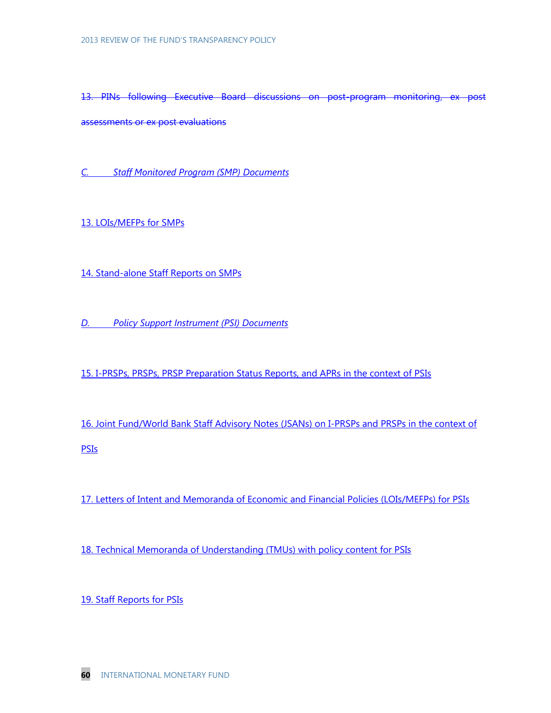13. PINs following Executive Board discussions on post-program monitoring, ex post assessments or ex post evaluations

*C. Staff Monitored Program (SMP) Documents*

13. LOIs/MEFPs for SMPs

14. Stand-alone Staff Reports on SMPs

*D. Policy Support Instrument (PSI) Documents*

15. I-PRSPs, PRSPs, PRSP Preparation Status Reports, and APRs in the context of PSIs

16. Joint Fund/World Bank Staff Advisory Notes (JSANs) on I-PRSPs and PRSPs in the context of PSIs

17. Letters of Intent and Memoranda of Economic and Financial Policies (LOIs/MEFPs) for PSIs

18. Technical Memoranda of Understanding (TMUs) with policy content for PSIs

19. Staff Reports for PSIs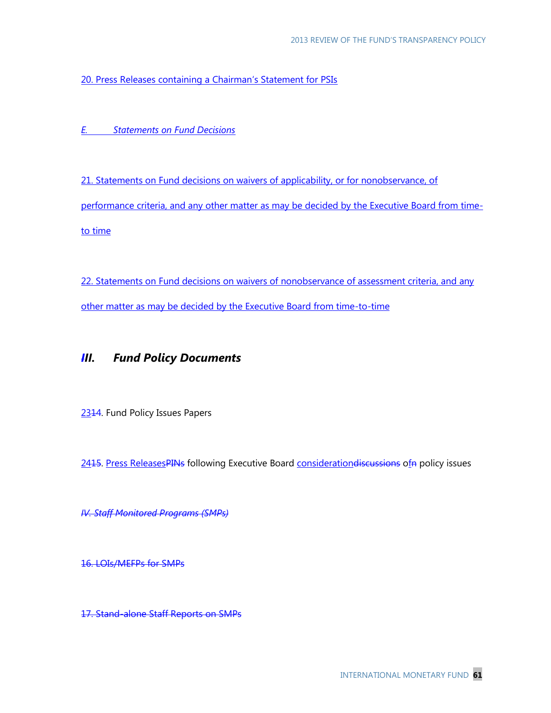20. Press Releases containing a Chairman's Statement for PSIs

*E. Statements on Fund Decisions*

21. Statements on Fund decisions on waivers of applicability, or for nonobservance, of performance criteria, and any other matter as may be decided by the Executive Board from timeto time

22. Statements on Fund decisions on waivers of nonobservance of assessment criteria, and any other matter as may be decided by the Executive Board from time-to-time

# *III. Fund Policy Documents*

2314. Fund Policy Issues Papers

2415. Press ReleasesPINs following Executive Board consideration discussions of p policy issues

*IV. Staff Monitored Programs (SMPs)*

16. LOIs/MEFPs for SMPs

17. Stand-alone Staff Reports on SMPs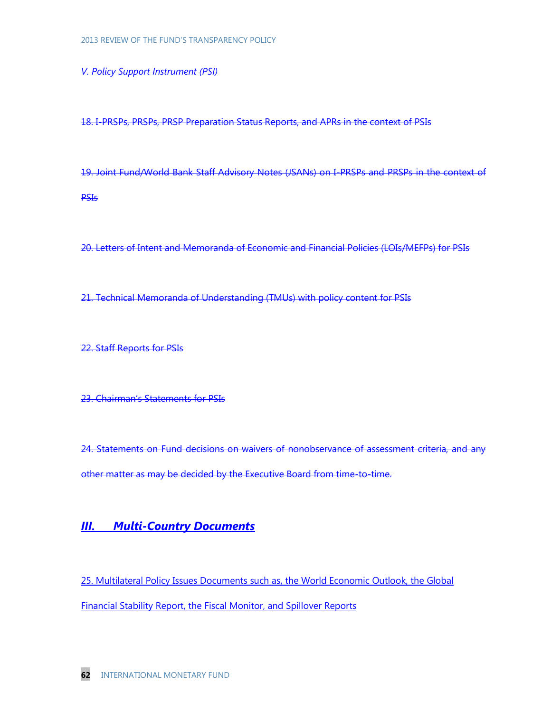*V. Policy Support Instrument (PSI)*

18. I-PRSPs, PRSPs, PRSP Preparation Status Reports, and APRs in the context of PSIs

19. Joint Fund/World Bank Staff Advisory Notes (JSANs) on I-PRSPs and PRSPs in the context of PSIs

20. Letters of Intent and Memoranda of Economic and Financial Policies (LOIs/MEFPs) for PSIs

21. Technical Memoranda of Understanding (TMUs) with policy content for PSIs

22. Staff Reports for PSIs

23. Chairman's Statements for PSIs

24. Statements on Fund decisions on waivers of nonobservance of assessment criteria, and any other matter as may be decided by the Executive Board from time-to-time.

# *III. Multi-Country Documents*

25. Multilateral Policy Issues Documents such as, the World Economic Outlook, the Global Financial Stability Report, the Fiscal Monitor, and Spillover Reports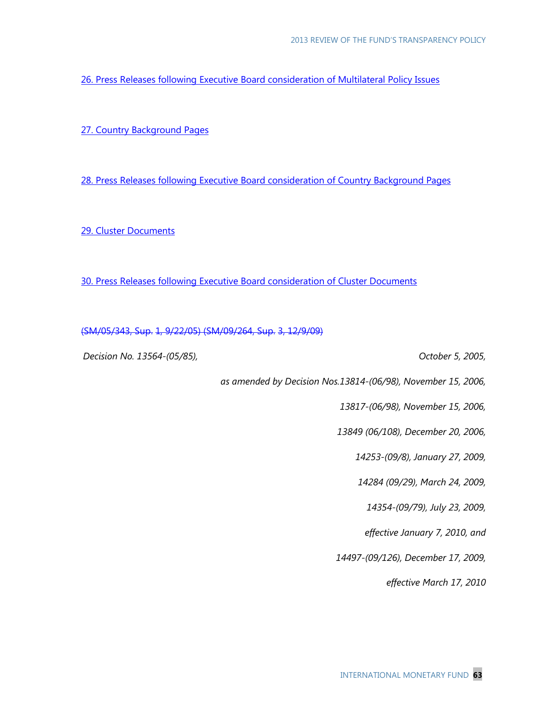26. Press Releases following Executive Board consideration of Multilateral Policy Issues

27. Country Background Pages

28. Press Releases following Executive Board consideration of Country Background Pages

29. Cluster Documents

30. Press Releases following Executive Board consideration of Cluster Documents

(SM/05/343, Sup. 1, 9/22/05) (SM/09/264, Sup. 3, 12/9/09)

*Decision No. 13564-(05/85), October 5, 2005,* 

*as amended by Decision Nos.13814-(06/98), November 15, 2006,*

*13817-(06/98), November 15, 2006,*

 *13849 (06/108), December 20, 2006,* 

*14253-(09/8), January 27, 2009,* 

*14284 (09/29), March 24, 2009,* 

*14354-(09/79), July 23, 2009,* 

*effective January 7, 2010, and*

*14497-(09/126), December 17, 2009,* 

*effective March 17, 2010*